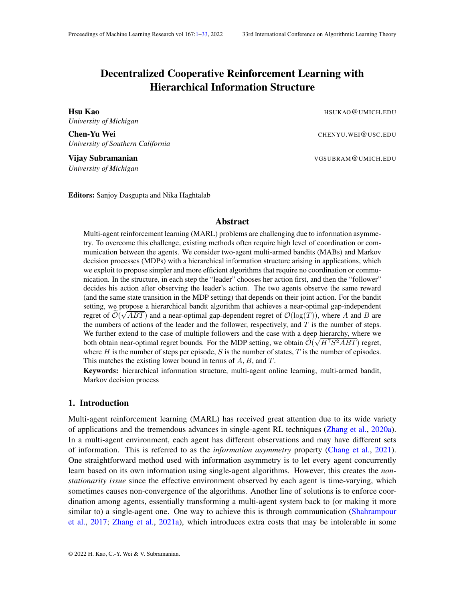# <span id="page-0-0"></span>Decentralized Cooperative Reinforcement Learning with Hierarchical Information Structure

**Hsu Kao** HSUKAO@UMICH.EDU *University of Michigan*

**Chen-Yu Wei** CHENYU.WEI QUSC.EDU *University of Southern California*

Vijay Subramanian VGSUBRAM @UMICH.EDU *University of Michigan*

Editors: Sanjoy Dasgupta and Nika Haghtalab

#### Abstract

Multi-agent reinforcement learning (MARL) problems are challenging due to information asymmetry. To overcome this challenge, existing methods often require high level of coordination or communication between the agents. We consider two-agent multi-armed bandits (MABs) and Markov decision processes (MDPs) with a hierarchical information structure arising in applications, which we exploit to propose simpler and more efficient algorithms that require no coordination or communication. In the structure, in each step the "leader" chooses her action first, and then the "follower" decides his action after observing the leader's action. The two agents observe the same reward (and the same state transition in the MDP setting) that depends on their joint action. For the bandit setting, we propose a hierarchical bandit algorithm that achieves a near-optimal gap-independent regret of  $\mathcal{O}(\sqrt{ABT})$  and a near-optimal gap-dependent regret of  $\mathcal{O}(\log(T))$ , where A and B are the numbers of actions of the leader and the follower, respectively, and  $T$  is the number of steps. We further extend to the case of multiple followers and the case with a deep hierarchy, where we both obtain near-optimal regret bounds. For the MDP setting, we obtain  $\mathcal{O}(\sqrt{H^7S^2ABT})$  regret, where H is the number of steps per episode, S is the number of states, T is the number of episodes. This matches the existing lower bound in terms of  $A, B$ , and  $T$ .

Keywords: hierarchical information structure, multi-agent online learning, multi-armed bandit, Markov decision process

## <span id="page-0-1"></span>1. Introduction

Multi-agent reinforcement learning (MARL) has received great attention due to its wide variety of applications and the tremendous advances in single-agent RL techniques [\(Zhang et al.,](#page-16-0) [2020a\)](#page-16-0). In a multi-agent environment, each agent has different observations and may have different sets of information. This is referred to as the *information asymmetry* property [\(Chang et al.,](#page-14-0) [2021\)](#page-14-0). One straightforward method used with information asymmetry is to let every agent concurrently learn based on its own information using single-agent algorithms. However, this creates the *nonstationarity issue* since the effective environment observed by each agent is time-varying, which sometimes causes non-convergence of the algorithms. Another line of solutions is to enforce coordination among agents, essentially transforming a multi-agent system back to (or making it more similar to) a single-agent one. One way to achieve this is through communication [\(Shahrampour](#page-16-1) [et al.,](#page-16-1) [2017;](#page-16-1) [Zhang et al.,](#page-16-2) [2021a\)](#page-16-2), which introduces extra costs that may be intolerable in some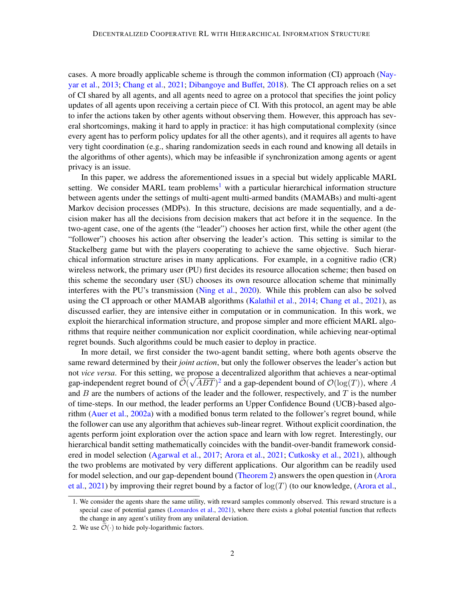cases. A more broadly applicable scheme is through the common information (CI) approach [\(Nay](#page-15-0)[yar et al.,](#page-15-0) [2013;](#page-15-0) [Chang et al.,](#page-14-0) [2021;](#page-14-0) [Dibangoye and Buffet,](#page-14-1) [2018\)](#page-14-1). The CI approach relies on a set of CI shared by all agents, and all agents need to agree on a protocol that specifies the joint policy updates of all agents upon receiving a certain piece of CI. With this protocol, an agent may be able to infer the actions taken by other agents without observing them. However, this approach has several shortcomings, making it hard to apply in practice: it has high computational complexity (since every agent has to perform policy updates for all the other agents), and it requires all agents to have very tight coordination (e.g., sharing randomization seeds in each round and knowing all details in the algorithms of other agents), which may be infeasible if synchronization among agents or agent privacy is an issue.

In this paper, we address the aforementioned issues in a special but widely applicable MARL setting. We consider MARL team problems<sup>[1](#page-1-0)</sup> with a particular hierarchical information structure between agents under the settings of multi-agent multi-armed bandits (MAMABs) and multi-agent Markov decision processes (MDPs). In this structure, decisions are made sequentially, and a decision maker has all the decisions from decision makers that act before it in the sequence. In the two-agent case, one of the agents (the "leader") chooses her action first, while the other agent (the "follower") chooses his action after observing the leader's action. This setting is similar to the Stackelberg game but with the players cooperating to achieve the same objective. Such hierarchical information structure arises in many applications. For example, in a cognitive radio (CR) wireless network, the primary user (PU) first decides its resource allocation scheme; then based on this scheme the secondary user (SU) chooses its own resource allocation scheme that minimally interferes with the PU's transmission [\(Ning et al.,](#page-15-1) [2020\)](#page-15-1). While this problem can also be solved using the CI approach or other MAMAB algorithms [\(Kalathil et al.,](#page-15-2) [2014;](#page-15-2) [Chang et al.,](#page-14-0) [2021\)](#page-14-0), as discussed earlier, they are intensive either in computation or in communication. In this work, we exploit the hierarchical information structure, and propose simpler and more efficient MARL algorithms that require neither communication nor explicit coordination, while achieving near-optimal regret bounds. Such algorithms could be much easier to deploy in practice.

In more detail, we first consider the two-agent bandit setting, where both agents observe the same reward determined by their *joint action*, but only the follower observes the leader's action but not *vice versa*. For this setting, we propose a decentralized algorithm that achieves a near-optimal gap-independent regret bound of  $\tilde{\mathcal{O}}(\sqrt{ABT})^2$  $\tilde{\mathcal{O}}(\sqrt{ABT})^2$  and a gap-dependent bound of  $\mathcal{O}(\log(T))$ , where A and  $B$  are the numbers of actions of the leader and the follower, respectively, and  $T$  is the number of time-steps. In our method, the leader performs an Upper Confidence Bound (UCB)-based algorithm [\(Auer et al.,](#page-14-2) [2002a\)](#page-14-2) with a modified bonus term related to the follower's regret bound, while the follower can use any algorithm that achieves sub-linear regret. Without explicit coordination, the agents perform joint exploration over the action space and learn with low regret. Interestingly, our hierarchical bandit setting mathematically coincides with the bandit-over-bandit framework considered in model selection [\(Agarwal et al.,](#page-13-0) [2017;](#page-13-0) [Arora et al.,](#page-13-1) [2021;](#page-13-1) [Cutkosky et al.,](#page-14-3) [2021\)](#page-14-3), although the two problems are motivated by very different applications. Our algorithm can be readily used for model selection, and our gap-dependent bound [\(Theorem 2\)](#page-8-0) answers the open question in [\(Arora](#page-13-1) [et al.,](#page-13-1) [2021\)](#page-13-1) by improving their regret bound by a factor of  $log(T)$  (to our knowledge, [\(Arora et al.,](#page-13-1)

<span id="page-1-0"></span><sup>1.</sup> We consider the agents share the same utility, with reward samples commonly observed. This reward structure is a special case of potential games [\(Leonardos et al.,](#page-15-3) [2021\)](#page-15-3), where there exists a global potential function that reflects the change in any agent's utility from any unilateral deviation.

<span id="page-1-1"></span><sup>2.</sup> We use  $\widetilde{\mathcal{O}}(\cdot)$  to hide poly-logarithmic factors.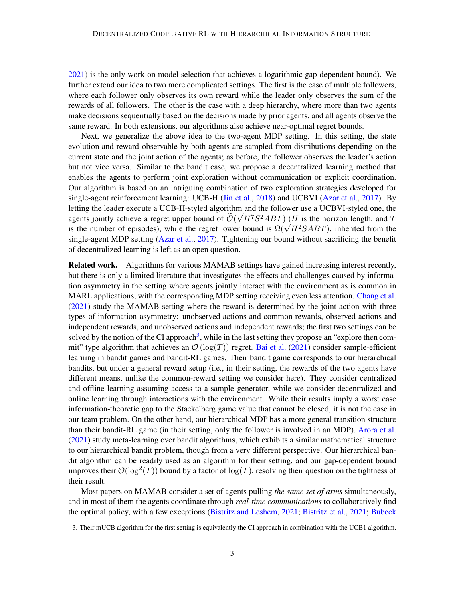[2021\)](#page-13-1) is the only work on model selection that achieves a logarithmic gap-dependent bound). We further extend our idea to two more complicated settings. The first is the case of multiple followers, where each follower only observes its own reward while the leader only observes the sum of the rewards of all followers. The other is the case with a deep hierarchy, where more than two agents make decisions sequentially based on the decisions made by prior agents, and all agents observe the same reward. In both extensions, our algorithms also achieve near-optimal regret bounds.

Next, we generalize the above idea to the two-agent MDP setting. In this setting, the state evolution and reward observable by both agents are sampled from distributions depending on the current state and the joint action of the agents; as before, the follower observes the leader's action but not vice versa. Similar to the bandit case, we propose a decentralized learning method that enables the agents to perform joint exploration without communication or explicit coordination. Our algorithm is based on an intriguing combination of two exploration strategies developed for single-agent reinforcement learning: UCB-H [\(Jin et al.,](#page-15-4) [2018\)](#page-15-4) and UCBVI [\(Azar et al.,](#page-14-4) [2017\)](#page-14-4). By letting the leader execute a UCB-H-styled algorithm and the follower use a UCBVI-styled one, the agents jointly achieve a regret upper bound of  $\mathcal{O}(\sqrt{H^7S^2ABT})$  (*H* is the horizon length, and *T* agents jointly achieve a regret upper bound of  $O(\sqrt{H \cdot S^2 A B T})$  (*H* is the norizon length, and *I* is the number of episodes), while the regret lower bound is  $\Omega(\sqrt{H^2 S A B T})$ , inherited from the single-agent MDP setting [\(Azar et al.,](#page-14-4) [2017\)](#page-14-4). Tightening our bound without sacrificing the benefit of decentralized learning is left as an open question.

Related work. Algorithms for various MAMAB settings have gained increasing interest recently, but there is only a limited literature that investigates the effects and challenges caused by information asymmetry in the setting where agents jointly interact with the environment as is common in MARL applications, with the corresponding MDP setting receiving even less attention. [Chang et al.](#page-14-0) [\(2021\)](#page-14-0) study the MAMAB setting where the reward is determined by the joint action with three types of information asymmetry: unobserved actions and common rewards, observed actions and independent rewards, and unobserved actions and independent rewards; the first two settings can be solved by the notion of the CI approach<sup>[3](#page-2-0)</sup>, while in the last setting they propose an "explore then commit" type algorithm that achieves an  $\mathcal{O}(\log(T))$  regret. [Bai et al.](#page-14-5) [\(2021\)](#page-14-5) consider sample-efficient learning in bandit games and bandit-RL games. Their bandit game corresponds to our hierarchical bandits, but under a general reward setup (i.e., in their setting, the rewards of the two agents have different means, unlike the common-reward setting we consider here). They consider centralized and offline learning assuming access to a sample generator, while we consider decentralized and online learning through interactions with the environment. While their results imply a worst case information-theoretic gap to the Stackelberg game value that cannot be closed, it is not the case in our team problem. On the other hand, our hierarchical MDP has a more general transition structure than their bandit-RL game (in their setting, only the follower is involved in an MDP). [Arora et al.](#page-13-1) [\(2021\)](#page-13-1) study meta-learning over bandit algorithms, which exhibits a similar mathematical structure to our hierarchical bandit problem, though from a very different perspective. Our hierarchical bandit algorithm can be readily used as an algorithm for their setting, and our gap-dependent bound improves their  $\mathcal{O}(\log^2(T))$  bound by a factor of  $\log(T)$ , resolving their question on the tightness of their result.

Most papers on MAMAB consider a set of agents pulling *the same set of arms* simultaneously, and in most of them the agents coordinate through *real-time communications* to collaboratively find the optimal policy, with a few exceptions [\(Bistritz and Leshem,](#page-14-6) [2021;](#page-14-6) [Bistritz et al.,](#page-14-7) [2021;](#page-14-7) [Bubeck](#page-14-8)

<span id="page-2-0"></span><sup>3.</sup> [Their mUCB algorithm for the first setting is equivalently the CI approach in combination with the UCB1 algorithm.](#page-14-8)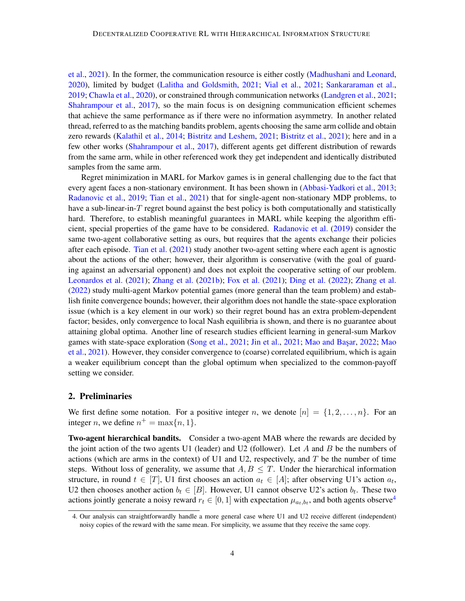[et al.,](#page-14-8) [2021\)](#page-14-8). In the former, the communication resource is either costly [\(Madhushani and Leonard,](#page-15-5) [2020\)](#page-15-5), limited by budget [\(Lalitha and Goldsmith,](#page-15-6) [2021;](#page-15-6) [Vial et al.,](#page-16-3) [2021;](#page-16-3) [Sankararaman et al.,](#page-15-7) [2019;](#page-15-7) [Chawla et al.,](#page-14-9) [2020\)](#page-14-9), or constrained through communication networks [\(Landgren et al.,](#page-15-8) [2021;](#page-15-8) [Shahrampour et al.,](#page-16-1) [2017\)](#page-16-1), so the main focus is on designing communication efficient schemes that achieve the same performance as if there were no information asymmetry. In another related thread, referred to as the matching bandits problem, agents choosing the same arm collide and obtain zero rewards [\(Kalathil et al.,](#page-15-2) [2014;](#page-15-2) [Bistritz and Leshem,](#page-14-6) [2021;](#page-14-6) [Bistritz et al.,](#page-14-7) [2021\)](#page-14-7); here and in a few other works [\(Shahrampour et al.,](#page-16-1) [2017\)](#page-16-1), different agents get different distribution of rewards from the same arm, while in other referenced work they get independent and identically distributed samples from the same arm.

Regret minimization in MARL for Markov games is in general challenging due to the fact that every agent faces a non-stationary environment. It has been shown in [\(Abbasi-Yadkori et al.,](#page-13-2) [2013;](#page-13-2) [Radanovic et al.,](#page-15-9) [2019;](#page-15-9) [Tian et al.,](#page-16-4) [2021\)](#page-16-4) that for single-agent non-stationary MDP problems, to have a sub-linear-in- $T$  regret bound against the best policy is both computationally and statistically hard. Therefore, to establish meaningful guarantees in MARL while keeping the algorithm efficient, special properties of the game have to be considered. [Radanovic et al.](#page-15-9) [\(2019\)](#page-15-9) consider the same two-agent collaborative setting as ours, but requires that the agents exchange their policies after each episode. [Tian et al.](#page-16-4) [\(2021\)](#page-16-4) study another two-agent setting where each agent is agnostic about the actions of the other; however, their algorithm is conservative (with the goal of guarding against an adversarial opponent) and does not exploit the cooperative setting of our problem. [Leonardos et al.](#page-15-3) [\(2021\)](#page-15-3); [Zhang et al.](#page-16-5) [\(2021b\)](#page-16-5); [Fox et al.](#page-14-10) [\(2021\)](#page-14-10); [Ding et al.](#page-14-11) [\(2022\)](#page-14-11); [Zhang et al.](#page-16-6) [\(2022\)](#page-16-6) study multi-agent Markov potential games (more general than the team problem) and establish finite convergence bounds; however, their algorithm does not handle the state-space exploration issue (which is a key element in our work) so their regret bound has an extra problem-dependent factor; besides, only convergence to local Nash equilibria is shown, and there is no guarantee about attaining global optima. Another line of research studies efficient learning in general-sum Markov games with state-space exploration [\(Song et al.,](#page-16-7) [2021;](#page-15-10) [Jin et al.,](#page-15-10) 2021; Mao and Basar, [2022;](#page-15-11) [Mao](#page-15-12) [et al.,](#page-15-12) [2021\)](#page-15-12). However, they consider convergence to (coarse) correlated equilibrium, which is again a weaker equilibrium concept than the global optimum when specialized to the common-payoff setting we consider.

## 2. Preliminaries

We first define some notation. For a positive integer n, we denote  $[n] = \{1, 2, \ldots, n\}$ . For an integer *n*, we define  $n^+ = \max\{n, 1\}.$ 

Two-agent hierarchical bandits. Consider a two-agent MAB where the rewards are decided by the joint action of the two agents U1 (leader) and U2 (follower). Let A and B be the numbers of actions (which are arms in the context) of U1 and U2, respectively, and  $T$  be the number of time steps. Without loss of generality, we assume that  $A, B \leq T$ . Under the hierarchical information structure, in round  $t \in [T]$ , U1 first chooses an action  $a_t \in [A]$ ; after observing U1's action  $a_t$ , U2 then chooses another action  $b_t \in [B]$ . However, U1 cannot observe U2's action  $b_t$ . These two actions jointly generate a noisy reward  $r_t \in [0, 1]$  with expectation  $\mu_{a_t, b_t}$ , and both agents observe<sup>[4](#page-3-0)</sup>

<span id="page-3-0"></span><sup>4.</sup> Our analysis can straightforwardly handle a more general case where U1 and U2 receive different (independent) noisy copies of the reward with the same mean. For simplicity, we assume that they receive the same copy.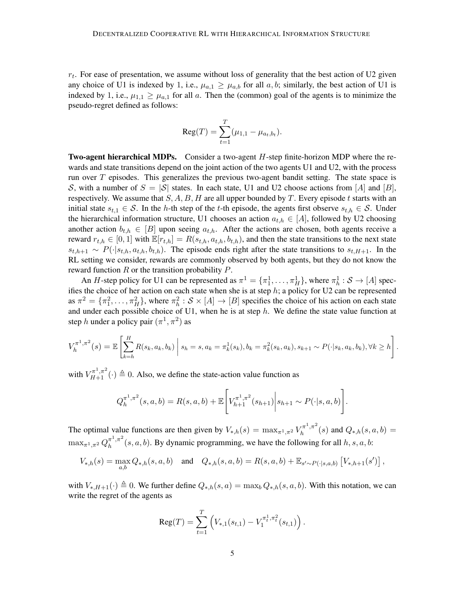$r_t$ . For ease of presentation, we assume without loss of generality that the best action of U2 given any choice of U1 is indexed by 1, i.e.,  $\mu_{a,1} \ge \mu_{a,b}$  for all a, b; similarly, the best action of U1 is indexed by 1, i.e.,  $\mu_{1,1} \ge \mu_{a,1}$  for all a. Then the (common) goal of the agents is to minimize the pseudo-regret defined as follows:

$$
Reg(T) = \sum_{t=1}^{T} (\mu_{1,1} - \mu_{a_t,b_t}).
$$

**Two-agent hierarchical MDPs.** Consider a two-agent H-step finite-horizon MDP where the rewards and state transitions depend on the joint action of the two agents U1 and U2, with the process run over  $T$  episodes. This generalizes the previous two-agent bandit setting. The state space is S, with a number of  $S = |\mathcal{S}|$  states. In each state, U1 and U2 choose actions from  $[A]$  and  $[B]$ , respectively. We assume that  $S, A, B, H$  are all upper bounded by T. Every episode t starts with an initial state  $s_{t,1} \in S$ . In the h-th step of the t-th episode, the agents first observe  $s_{t,h} \in S$ . Under the hierarchical information structure, U1 chooses an action  $a_{t,h} \in [A]$ , followed by U2 choosing another action  $b_{t,h} \in [B]$  upon seeing  $a_{t,h}$ . After the actions are chosen, both agents receive a reward  $r_{t,h} \in [0,1]$  with  $\mathbb{E}[r_{t,h}] = R(s_{t,h}, a_{t,h}, b_{t,h})$ , and then the state transitions to the next state  $s_{t,h+1} \sim P(\cdot|s_{t,h}, a_{t,h}, b_{t,h})$ . The episode ends right after the state transitions to  $s_{t,H+1}$ . In the RL setting we consider, rewards are commonly observed by both agents, but they do not know the reward function  $R$  or the transition probability  $P$ .

An H-step policy for U1 can be represented as  $\pi^1 = \{\pi_1^1, \dots, \pi_H^1\}$ , where  $\pi_h^1 : S \to [A]$  specifies the choice of her action on each state when she is at step  $h$ ; a policy for U2 can be represented as  $\pi^2 = {\pi_1^2, \dots, \pi_H^2}$ , where  $\pi_h^2 : S \times [A] \to [B]$  specifies the choice of his action on each state and under each possible choice of U1, when he is at step  $h$ . We define the state value function at step h under a policy pair  $(\pi^1, \pi^2)$  as

$$
V_h^{\pi^1, \pi^2}(s) = \mathbb{E}\left[\sum_{k=h}^H R(s_k, a_k, b_k) \middle| s_h = s, a_k = \pi_k^1(s_k), b_k = \pi_k^2(s_k, a_k), s_{k+1} \sim P(\cdot | s_k, a_k, b_k), \forall k \ge h\right].
$$

with  $V_{H+1}^{\pi^1,\pi^2}(\cdot) \triangleq 0$ . Also, we define the state-action value function as

$$
Q_h^{\pi^1, \pi^2}(s, a, b) = R(s, a, b) + \mathbb{E}\left[V_{h+1}^{\pi^1, \pi^2}(s_{h+1})\middle|s_{h+1} \sim P(\cdot | s, a, b)\right].
$$

The optimal value functions are then given by  $V_{*,h}(s) = \max_{\pi^1, \pi^2} V_h^{\pi^1, \pi^2}$  $Q_{*,h}(s)$  and  $Q_{*,h}(s, a, b) =$  $\max_{\pi^1, \pi^2} Q_h^{\pi^1, \pi^2}$  $h^{(\pi^+,\pi^+)}(s,a,b)$ . By dynamic programming, we have the following for all  $h, s, a, b$ :

$$
V_{*,h}(s) = \max_{a,b} Q_{*,h}(s,a,b) \quad \text{and} \quad Q_{*,h}(s,a,b) = R(s,a,b) + \mathbb{E}_{s' \sim P(\cdot|s,a,b)} \left[ V_{*,h+1}(s') \right],
$$

with  $V_{*,H+1}(\cdot) \triangleq 0$ . We further define  $Q_{*,h}(s, a) = \max_b Q_{*,h}(s, a, b)$ . With this notation, we can write the regret of the agents as

$$
\operatorname{Reg}(T) = \sum_{t=1}^T \left( V_{*,1}(s_{t,1}) - V_1^{\pi_t^1, \pi_t^2}(s_{t,1}) \right).
$$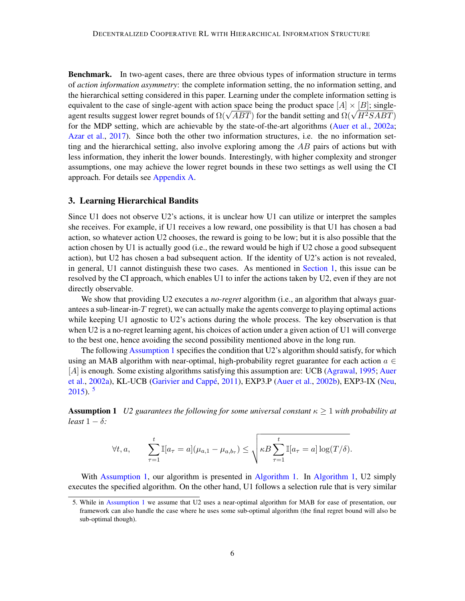Benchmark. In two-agent cases, there are three obvious types of information structure in terms of *action information asymmetry*: the complete information setting, the no information setting, and the hierarchical setting considered in this paper. Learning under the complete information setting is equivalent to the case of single-agent with action space being the product space  $[A] \times [B]$ ; singleequivalent to the case or single-agent with action space being the product space  $[A] \times [B]$ ; single-<br>agent results suggest lower regret bounds of  $\Omega(\sqrt{ABT})$  for the bandit setting and  $\Omega(\sqrt{H^2SABT})$ for the MDP setting, which are achievable by the state-of-the-art algorithms [\(Auer et al.,](#page-14-2) [2002a;](#page-14-2) [Azar et al.,](#page-14-4) [2017\)](#page-14-4). Since both the other two information structures, i.e. the no information setting and the hierarchical setting, also involve exploring among the  $AB$  pairs of actions but with less information, they inherit the lower bounds. Interestingly, with higher complexity and stronger assumptions, one may achieve the lower regret bounds in these two settings as well using the CI approach. For details see [Appendix A.](#page-16-8)

## <span id="page-5-2"></span>3. Learning Hierarchical Bandits

Since U1 does not observe U2's actions, it is unclear how U1 can utilize or interpret the samples she receives. For example, if U1 receives a low reward, one possibility is that U1 has chosen a bad action, so whatever action U2 chooses, the reward is going to be low; but it is also possible that the action chosen by U1 is actually good (i.e., the reward would be high if U2 chose a good subsequent action), but U2 has chosen a bad subsequent action. If the identity of U2's action is not revealed, in general, U1 cannot distinguish these two cases. As mentioned in [Section 1,](#page-0-1) this issue can be resolved by the CI approach, which enables U1 to infer the actions taken by U2, even if they are not directly observable.

We show that providing U2 executes a *no-regret* algorithm (i.e., an algorithm that always guarantees a sub-linear-in-T regret), we can actually make the agents converge to playing optimal actions while keeping U1 agnostic to U2's actions during the whole process. The key observation is that when U2 is a no-regret learning agent, his choices of action under a given action of U1 will converge to the best one, hence avoiding the second possibility mentioned above in the long run.

The following [Assumption 1](#page-5-0) specifies the condition that U2's algorithm should satisfy, for which using an MAB algorithm with near-optimal, high-probability regret guarantee for each action  $a \in$ [A] is enough. Some existing algorithms satisfying this assumption are: UCB [\(Agrawal,](#page-13-3) [1995;](#page-13-3) [Auer](#page-14-2) [et al.,](#page-14-2) [2002a\)](#page-14-2), KL-UCB (Garivier and Cappé, [2011\)](#page-14-12), EXP3.P [\(Auer et al.,](#page-14-13) [2002b\)](#page-14-13), EXP3-IX [\(Neu,](#page-15-13)  $2015$  $2015$ ).  $5$ 

<span id="page-5-0"></span>**Assumption 1** *U2 guarantees the following for some universal constant*  $\kappa \geq 1$  *with probability at*  $least 1 - \delta$ :

$$
\forall t, a, \qquad \sum_{\tau=1}^t \mathbb{I}[a_{\tau} = a](\mu_{a,1} - \mu_{a,b_{\tau}}) \leq \sqrt{\kappa B \sum_{\tau=1}^t \mathbb{I}[a_{\tau} = a] \log(T/\delta)}.
$$

With [Assumption 1,](#page-5-0) our algorithm is presented in [Algorithm 1.](#page-6-0) In [Algorithm 1,](#page-6-0) U2 simply executes the specified algorithm. On the other hand, U1 follows a selection rule that is very similar

<span id="page-5-1"></span><sup>5.</sup> While in [Assumption 1](#page-5-0) we assume that U2 uses a near-optimal algorithm for MAB for ease of presentation, our framework can also handle the case where he uses some sub-optimal algorithm (the final regret bound will also be sub-optimal though).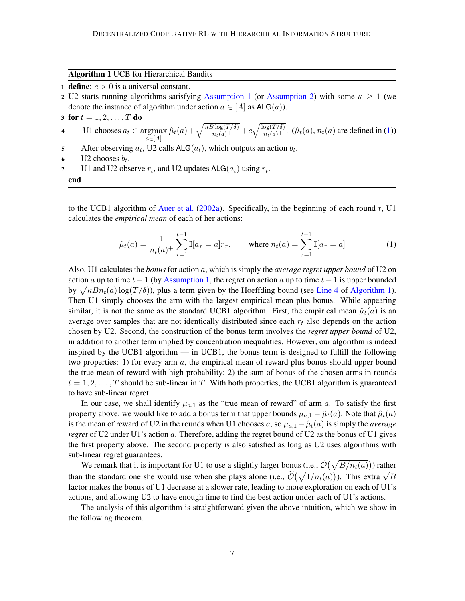<span id="page-6-0"></span>Algorithm 1 UCB for Hierarchical Bandits

- 1 define:  $c > 0$  is a universal constant.
- 2 U2 starts running algorithms satisfying [Assumption 1](#page-5-0) (or [Assumption 2\)](#page-7-0) with some  $\kappa \ge 1$  (we denote the instance of algorithm under action  $a \in [A]$  as  $\mathsf{ALG}(a)$ ).
- 3 for  $t = 1, 2, ..., T$  do
- <span id="page-6-2"></span>4 | U1 chooses  $a_t \in \text{argmax}$  $a \in [A]$  $\hat{\mu}_t(a) + \sqrt{\frac{\kappa B \log(T/\delta)}{n_t(a)^+}} + c \sqrt{\frac{\log(T/\delta)}{n_t(a)^+}}$ .  $(\hat{\mu}_t(a), n_t(a))$  are defined in [\(1\)](#page-6-1))
- 5 After observing  $a_t$ , U2 calls ALG $(a_t)$ , which outputs an action  $b_t$ .
- 6 | U2 chooses  $b_t$ .
- 7 | U1 and U2 observe  $r_t$ , and U2 updates ALG $(a_t)$  using  $r_t$ . end

to the UCB1 algorithm of [Auer et al.](#page-14-2) [\(2002a\)](#page-14-2). Specifically, in the beginning of each round  $t$ , U1 calculates the *empirical mean* of each of her actions:

<span id="page-6-1"></span>
$$
\hat{\mu}_t(a) = \frac{1}{n_t(a)^+} \sum_{\tau=1}^{t-1} \mathbb{I}[a_{\tau} = a] r_{\tau}, \quad \text{where } n_t(a) = \sum_{\tau=1}^{t-1} \mathbb{I}[a_{\tau} = a]
$$
 (1)

Also, U1 calculates the *bonus* for action a, which is simply the *average regret upper bound* of U2 on action a up to time  $t - 1$  (by [Assumption 1,](#page-5-0) the regret on action a up to time  $t - 1$  is upper bounded by  $\sqrt{\kappa B n_t(a) \log(T/\delta)}$ , plus a term given by the Hoeffding bound (see [Line 4](#page-6-2) of [Algorithm 1\)](#page-6-0). Then U1 simply chooses the arm with the largest empirical mean plus bonus. While appearing similar, it is not the same as the standard UCB1 algorithm. First, the empirical mean  $\hat{\mu}_t(a)$  is an average over samples that are not identically distributed since each  $r_t$  also depends on the action chosen by U2. Second, the construction of the bonus term involves the *regret upper bound* of U2, in addition to another term implied by concentration inequalities. However, our algorithm is indeed inspired by the UCB1 algorithm — in UCB1, the bonus term is designed to fulfill the following two properties: 1) for every arm  $a$ , the empirical mean of reward plus bonus should upper bound the true mean of reward with high probability; 2) the sum of bonus of the chosen arms in rounds  $t = 1, 2, \ldots, T$  should be sub-linear in T. With both properties, the UCB1 algorithm is guaranteed to have sub-linear regret.

In our case, we shall identify  $\mu_{a,1}$  as the "true mean of reward" of arm a. To satisfy the first property above, we would like to add a bonus term that upper bounds  $\mu_{a,1} - \hat{\mu}_t(a)$ . Note that  $\hat{\mu}_t(a)$ is the mean of reward of U2 in the rounds when U1 chooses a, so  $\mu_{a,1} - \hat{\mu}_t(a)$  is simply the *average regret* of U2 under U1's action a. Therefore, adding the regret bound of U2 as the bonus of U1 gives the first property above. The second property is also satisfied as long as U2 uses algorithms with sub-linear regret guarantees.

We remark that it is important for U1 to use a slightly larger bonus (i.e.,  $\tilde{\mathcal{O}}(\sqrt{B/n_t(a)})$ ) rather than the standard one she would use when she plays alone (i.e.,  $\tilde{O}(\sqrt{1/n_t(a)})$ ). This extra  $\sqrt{B}$ factor makes the bonus of U1 decrease at a slower rate, leading to more exploration on each of U1's actions, and allowing U2 to have enough time to find the best action under each of U1's actions.

<span id="page-6-3"></span>The analysis of this algorithm is straightforward given the above intuition, which we show in the following theorem.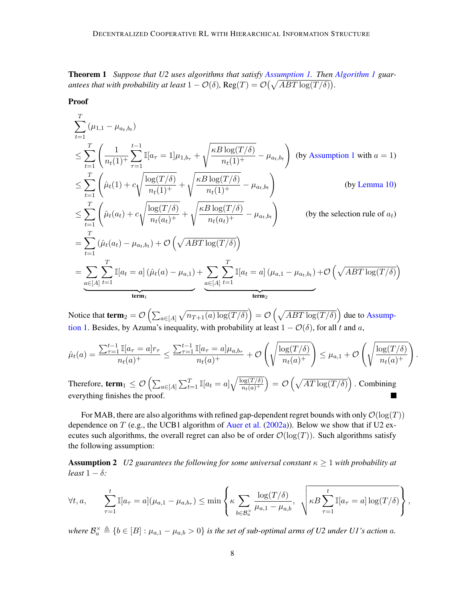Theorem 1 *Suppose that U2 uses algorithms that satisfy [Assumption 1.](#page-5-0) Then [Algorithm 1](#page-6-0) guarantees that with probability at least*  $1 - \mathcal{O}(\delta)$ ,  $\text{Reg}(T) = \mathcal{O}(\sqrt{ABT \log(T/\delta)})$ .

Proof

$$
\sum_{t=1}^{T} (\mu_{1,1} - \mu_{a_t,b_t})
$$
\n
$$
\leq \sum_{t=1}^{T} \left( \frac{1}{n_t(1)^+} \sum_{\tau=1}^{t-1} \mathbb{I}[a_{\tau} = 1] \mu_{1,b_{\tau}} + \sqrt{\frac{\kappa B \log(T/\delta)}{n_t(1)^+}} - \mu_{a_t,b_t} \right) \text{ (by Assumption 1 with } a = 1)
$$
\n
$$
\leq \sum_{t=1}^{T} \left( \hat{\mu}_t(1) + c \sqrt{\frac{\log(T/\delta)}{n_t(1)^+}} + \sqrt{\frac{\kappa B \log(T/\delta)}{n_t(1)^+}} - \mu_{a_t,b_t} \right) \text{ (by Lemma 10)}
$$
\n
$$
\leq \sum_{t=1}^{T} \left( \hat{\mu}_t(a_t) + c \sqrt{\frac{\log(T/\delta)}{n_t(a_t)^+}} + \sqrt{\frac{\kappa B \log(T/\delta)}{n_t(a_t)^+}} - \mu_{a_t,b_t} \right) \text{ (by the selection rule of } a_t)
$$
\n
$$
= \sum_{t=1}^{T} (\hat{\mu}_t(a_t) - \mu_{a_t,b_t}) + \mathcal{O}\left(\sqrt{ABT \log(T/\delta)}\right)
$$
\n
$$
= \sum_{t=1}^{T} \mathbb{I}[a_t = a] (\hat{\mu}_t(a) - \mu_{a,1}) + \sum_{t=1}^{T} \mathbb{I}[a_t = a] (\mu_{a,1} - \mu_{a_t,b_t}) + \mathcal{O}\left(\sqrt{ABT \log(T/\delta)}\right)
$$
\n
$$
\xrightarrow{\text{term}_1} \qquad \xrightarrow{\text{term}_2} \qquad \xrightarrow{\text{term}_2}
$$

Notice that  $\mathbf{term}_2 = \mathcal{O}\left(\sum_{a \in [A]} \sqrt{n_{T+1}(a) \log(T/\delta)}\right) = \mathcal{O}\left(\sqrt{ABT \log(T/\delta)}\right)$  due to [Assump](#page-5-0)[tion 1.](#page-5-0) Besides, by Azuma's inequality, with probability at least  $1 - \mathcal{O}(\delta)$ , for all t and a,

$$
\hat{\mu}_t(a) = \frac{\sum_{\tau=1}^{t-1} \mathbb{I}[a_{\tau}=a]r_{\tau}}{n_t(a)^+} \le \frac{\sum_{\tau=1}^{t-1} \mathbb{I}[a_{\tau}=a] \mu_{a,b_{\tau}}}{n_t(a)^+} + \mathcal{O}\left(\sqrt{\frac{\log(T/\delta)}{n_t(a)^+}}\right) \le \mu_{a,1} + \mathcal{O}\left(\sqrt{\frac{\log(T/\delta)}{n_t(a)^+}}\right).
$$

Therefore, term $_1\leq \mathcal{O}\left(\sum_{a\in [A]}\sum_{t=1}^T \mathbb{I}[a_t=a] \sqrt{\frac{\log(T/\delta)}{n_t(a)^+}}\right)$  $\big) = \mathcal{O}\left(\sqrt{AT\log(T/\delta)}\right)$ . Combining  $\overline{n_t(a)^+}$ everything finishes the proof. **T** 

For MAB, there are also algorithms with refined gap-dependent regret bounds with only  $\mathcal{O}(\log(T))$ dependence on  $T$  (e.g., the UCB1 algorithm of [Auer et al.](#page-14-2) [\(2002a\)](#page-14-2)). Below we show that if U2 executes such algorithms, the overall regret can also be of order  $\mathcal{O}(\log(T))$ . Such algorithms satisfy the following assumption:

<span id="page-7-0"></span>**Assumption 2** *U2 guarantees the following for some universal constant*  $\kappa \geq 1$  *with probability at least*  $1 - \delta$ *:* 

$$
\forall t, a, \qquad \sum_{\tau=1}^t \mathbb{I}[a_{\tau} = a](\mu_{a,1} - \mu_{a,b_{\tau}}) \leq \min\left\{\kappa \sum_{b \in \mathcal{B}_a^{\times}} \frac{\log(T/\delta)}{\mu_{a,1} - \mu_{a,b}}, \sqrt{\kappa B \sum_{\tau=1}^t \mathbb{I}[a_{\tau} = a] \log(T/\delta)}\right\},\,
$$

where  $\mathcal{B}_a^{\times} \triangleq \{b \in [B]: \mu_{a,1} - \mu_{a,b} > 0\}$  is the set of sub-optimal arms of U2 under U1's action a.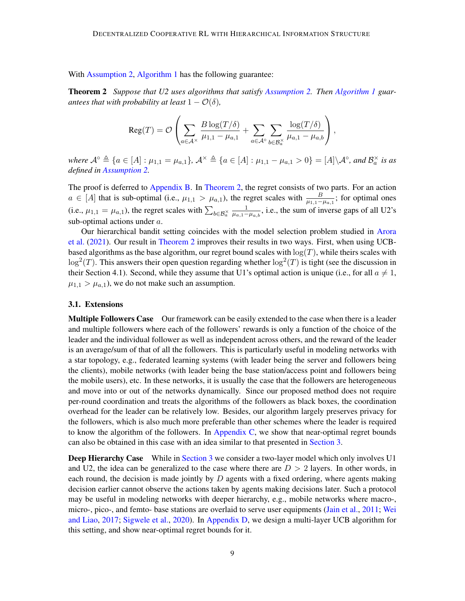With [Assumption 2,](#page-7-0) [Algorithm 1](#page-6-0) has the following guarantee:

Theorem 2 *Suppose that U2 uses algorithms that satisfy [Assumption 2.](#page-7-0) Then [Algorithm 1](#page-6-0) guarantees that with probability at least*  $1 - \mathcal{O}(\delta)$ *,* 

<span id="page-8-0"></span>
$$
\operatorname{Reg}(T) = \mathcal{O}\left(\sum_{a \in \mathcal{A}^{\times}} \frac{B \log(T/\delta)}{\mu_{1,1} - \mu_{a,1}} + \sum_{a \in \mathcal{A}^{\circ}} \sum_{b \in \mathcal{B}_{a}^{\times}} \frac{\log(T/\delta)}{\mu_{a,1} - \mu_{a,b}}\right),\,
$$

*where*  $\mathcal{A}^{\circ} \triangleq \{a \in [A] : \mu_{1,1} = \mu_{a,1}\}, \mathcal{A}^{\times} \triangleq \{a \in [A] : \mu_{1,1} - \mu_{a,1} > 0\} = [A] \setminus \mathcal{A}^{\circ},$  and  $\mathcal{B}_{a}^{\times}$  is as *defined in [Assumption 2.](#page-7-0)*

The proof is deferred to [Appendix B.](#page-17-0) In [Theorem 2,](#page-8-0) the regret consists of two parts. For an action  $a \in [A]$  that is sub-optimal (i.e.,  $\mu_{1,1} > \mu_{a,1}$ ), the regret scales with  $\frac{B}{\mu_{1,1}-\mu_{a,1}}$ ; for optimal ones (i.e.,  $\mu_{1,1} = \mu_{a,1}$ ), the regret scales with  $\sum_{b \in \mathcal{B}_{a}^{\times}}$  $\frac{1}{\mu_{a,1}-\mu_{a,b}}$ , i.e., the sum of inverse gaps of all U2's sub-optimal actions under a.

Our hierarchical bandit setting coincides with the model selection problem studied in [Arora](#page-13-1) [et al.](#page-13-1) [\(2021\)](#page-13-1). Our result in [Theorem 2](#page-8-0) improves their results in two ways. First, when using UCBbased algorithms as the base algorithm, our regret bound scales with  $log(T)$ , while theirs scales with  $\log^2(T)$ . This answers their open question regarding whether  $\log^2(T)$  is tight (see the discussion in their Section 4.1). Second, while they assume that U1's optimal action is unique (i.e., for all  $a \neq 1$ ,  $\mu_{1,1} > \mu_{a,1}$ , we do not make such an assumption.

## <span id="page-8-1"></span>3.1. Extensions

**Multiple Followers Case** Our framework can be easily extended to the case when there is a leader and multiple followers where each of the followers' rewards is only a function of the choice of the leader and the individual follower as well as independent across others, and the reward of the leader is an average/sum of that of all the followers. This is particularly useful in modeling networks with a star topology, e.g., federated learning systems (with leader being the server and followers being the clients), mobile networks (with leader being the base station/access point and followers being the mobile users), etc. In these networks, it is usually the case that the followers are heterogeneous and move into or out of the networks dynamically. Since our proposed method does not require per-round coordination and treats the algorithms of the followers as black boxes, the coordination overhead for the leader can be relatively low. Besides, our algorithm largely preserves privacy for the followers, which is also much more preferable than other schemes where the leader is required to know the algorithm of the followers. In [Appendix C,](#page-24-0) we show that near-optimal regret bounds can also be obtained in this case with an idea similar to that presented in [Section 3.](#page-5-2)

**Deep Hierarchy Case** While in [Section 3](#page-5-2) we consider a two-layer model which only involves U1 and U2, the idea can be generalized to the case where there are  $D > 2$  layers. In other words, in each round, the decision is made jointly by  $D$  agents with a fixed ordering, where agents making decision earlier cannot observe the actions taken by agents making decisions later. Such a protocol may be useful in modeling networks with deeper hierarchy, e.g., mobile networks where macro-, micro-, pico-, and femto- base stations are overlaid to serve user equipments [\(Jain et al.,](#page-14-14) [2011;](#page-14-14) [Wei](#page-16-9) [and Liao,](#page-16-9) [2017;](#page-16-9) [Sigwele et al.,](#page-16-10) [2020\)](#page-16-10). In [Appendix D,](#page-26-0) we design a multi-layer UCB algorithm for this setting, and show near-optimal regret bounds for it.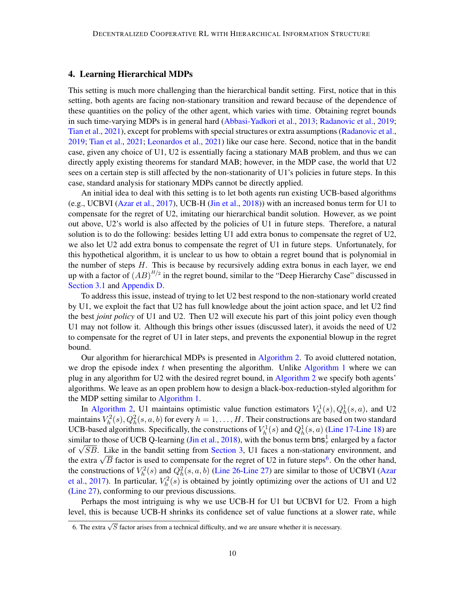## 4. Learning Hierarchical MDPs

This setting is much more challenging than the hierarchical bandit setting. First, notice that in this setting, both agents are facing non-stationary transition and reward because of the dependence of these quantities on the policy of the other agent, which varies with time. Obtaining regret bounds in such time-varying MDPs is in general hard [\(Abbasi-Yadkori et al.,](#page-13-2) [2013;](#page-13-2) [Radanovic et al.,](#page-15-9) [2019;](#page-15-9) [Tian et al.,](#page-16-4) [2021\)](#page-16-4), except for problems with special structures or extra assumptions [\(Radanovic et al.,](#page-15-9) [2019;](#page-15-9) [Tian et al.,](#page-16-4) [2021;](#page-16-4) [Leonardos et al.,](#page-15-3) [2021\)](#page-15-3) like our case here. Second, notice that in the bandit case, given any choice of U1, U2 is essentially facing a stationary MAB problem, and thus we can directly apply existing theorems for standard MAB; however, in the MDP case, the world that U2 sees on a certain step is still affected by the non-stationarity of U1's policies in future steps. In this case, standard analysis for stationary MDPs cannot be directly applied.

An initial idea to deal with this setting is to let both agents run existing UCB-based algorithms (e.g., UCBVI [\(Azar et al.,](#page-14-4) [2017\)](#page-14-4), UCB-H [\(Jin et al.,](#page-15-4) [2018\)](#page-15-4)) with an increased bonus term for U1 to compensate for the regret of U2, imitating our hierarchical bandit solution. However, as we point out above, U2's world is also affected by the policies of U1 in future steps. Therefore, a natural solution is to do the following: besides letting U1 add extra bonus to compensate the regret of U2, we also let U2 add extra bonus to compensate the regret of U1 in future steps. Unfortunately, for this hypothetical algorithm, it is unclear to us how to obtain a regret bound that is polynomial in the number of steps  $H$ . This is because by recursively adding extra bonus in each layer, we end up with a factor of  $(AB)^{H/2}$  in the regret bound, similar to the "Deep Hierarchy Case" discussed in [Section 3.1](#page-8-1) and [Appendix D.](#page-26-0)

To address this issue, instead of trying to let U2 best respond to the non-stationary world created by U1, we exploit the fact that U2 has full knowledge about the joint action space, and let U2 find the best *joint policy* of U1 and U2. Then U2 will execute his part of this joint policy even though U1 may not follow it. Although this brings other issues (discussed later), it avoids the need of U2 to compensate for the regret of U1 in later steps, and prevents the exponential blowup in the regret bound.

Our algorithm for hierarchical MDPs is presented in [Algorithm 2.](#page-10-0) To avoid cluttered notation, we drop the episode index t when presenting the algorithm. Unlike [Algorithm 1](#page-6-0) where we can plug in any algorithm for U2 with the desired regret bound, in [Algorithm 2](#page-10-0) we specify both agents' algorithms. We leave as an open problem how to design a black-box-reduction-styled algorithm for the MDP setting similar to [Algorithm 1.](#page-6-0)

In [Algorithm 2,](#page-10-0) U1 maintains optimistic value function estimators  $V_h^1(s)$ ,  $Q_h^1(s, a)$ , and U2 maintains  $V_h^2(s), Q_h^2(s,a,b)$  for every  $h=1,\ldots,H.$  Their constructions are based on two standard UCB-based algorithms. Specifically, the constructions of  $V_h^1(s)$  and  $Q_h^1(s, a)$  [\(Line 17-](#page-10-1)[Line 18\)](#page-10-2) are similar to those of UCB Q-learning [\(Jin et al.,](#page-15-4) [2018\)](#page-15-4), with the bonus term  $bns_\tau^1$  enlarged by a factor similar to those of UCB Q-learning (Jin et al., 2018), with the bonds term  $\mathsf{D} \mathsf{ns}_\tau$  enlarged by a factor of  $\sqrt{SB}$ . Like in the bandit setting from [Section 3,](#page-5-2) U1 faces a non-stationary environment, and or  $\sqrt{B}$ . Like in the bandit setting from Section 3, 0.1 faces a non-stationary environment, and the extra  $\sqrt{B}$  factor is used to compensate for the regret of U2 in future steps<sup>[6](#page-9-0)</sup>. On the other hand, the constructions of  $V_h^2(s)$  and  $Q_h^2(s, a, b)$  [\(Line 26](#page-10-3)[-Line 27\)](#page-10-4) are similar to those of UCBVI [\(Azar](#page-14-4) [et al.,](#page-14-4) [2017\)](#page-14-4). In particular,  $V_h^2(s)$  is obtained by jointly optimizing over the actions of U1 and U2 [\(Line 27\)](#page-10-4), conforming to our previous discussions.

Perhaps the most intriguing is why we use UCB-H for U1 but UCBVI for U2. From a high level, this is because UCB-H shrinks its confidence set of value functions at a slower rate, while

<span id="page-9-0"></span><sup>6.</sup> The extra  $\sqrt{S}$  factor arises from a technical difficulty, and we are unsure whether it is necessary.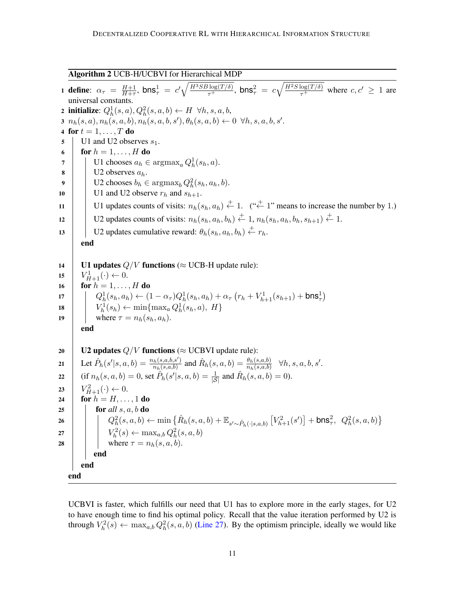<span id="page-10-0"></span>Algorithm 2 UCB-H/UCBVI for Hierarchical MDP

<span id="page-10-5"></span><span id="page-10-1"></span>1 define:  $\alpha_{\tau} = \frac{H+1}{H+\tau}$  $\frac{H+1}{H+\tau}$ , bns $\frac{1}{\tau} = c' \sqrt{\frac{H^3 SB \log(T/\delta)}{\tau^+}}$ , bns $\frac{2}{\tau} = c \sqrt{\frac{H^2 S \log(T/\delta)}{\tau^+}}$  where  $c, c' \geq 1$  are universal constants. 2 initialize:  $Q_h^1(s, a), Q_h^2(s, a, b) \leftarrow H \ \forall h, s, a, b$ ,  $3\; n_h(s,a), n_h(s,a,b), n_h(s,a,b,s'), \theta_h(s,a,b) \leftarrow 0 \;\; \forall h,s,a,b,s'.$ 4 for  $t = 1, \ldots, T$  do  $\mathfrak{g}$  U1 and U2 observes  $s_1$ . 6 for  $h = 1, \ldots, H$  do 7 | U1 chooses  $a_h \in \text{argmax}_a Q_h^1(s_h, a)$ .  $\mathbf{8}$  | U2 observes  $a_h$ . **9** U2 chooses  $b_h \in \text{argmax}_b Q_h^2(s_h, a_h, b)$ . 10 U1 and U2 observe  $r_h$  and  $s_{h+1}$ . 11 U1 updates counts of visits:  $n_h(s_h, a_h) \stackrel{+}{\leftarrow} 1$ . (" $\stackrel{+}{\leftarrow} 1$ " means to increase the number by 1.) 12 U2 updates counts of visits:  $n_h(s_h, a_h, b_h) \stackrel{+}{\leftarrow} 1$ ,  $n_h(s_h, a_h, b_h, s_{h+1}) \stackrel{+}{\leftarrow} 1$ . 13 U2 updates cumulative reward:  $\theta_h(s_h, a_h, b_h) \stackrel{+}{\leftarrow} r_h$ . end 14 | U1 updates  $Q/V$  functions ( $\approx$  UCB-H update rule): 15  $V_{H+1}^1(\cdot) \leftarrow 0.$ 16 **for**  $h = 1, \ldots, H$  do 17  $Q_h^1(s_h, a_h) \leftarrow (1 - \alpha_\tau) Q_h^1(s_h, a_h) + \alpha_\tau (r_h + V_{h+1}^1(s_{h+1}) + \text{bns}_\tau^1)$ 18  $\left| V_h^1(s_h) \leftarrow \min\{\max_a Q_h^1(s_h, a), H\}$ 19 where  $\tau = n_h(s_h, a_h)$ . end 20 U2 updates  $Q/V$  functions ( $\approx$  UCBVI update rule): 21 Let  $\hat{P}_h(s' | s, a, b) = \frac{n_h(s, a, b, s')}{n_h(s, a, b)}$  $\frac{h_{h}(s,a,b,s')}{n_{h}(s,a,b)}$  and  $\hat{R}_{h}(s,a,b) = \frac{\theta_{h}(s,a,b)}{n_{h}(s,a,b)} \quad \forall h, s, a, b, s'.$ 22 (if  $n_h(s, a, b) = 0$ , set  $\hat{P}_h(s'|s, a, b) = \frac{1}{|S|}$  and  $\hat{R}_h(s, a, b) = 0$ ). 23  $\left| V_{H+1}^2(\cdot) \leftarrow 0.$ 24 **for**  $h = H, ..., 1$  do 25  $\int$  for *all* s, a, b do  $\begin{array}{|c|c|c|c|c|}\hline & & & Q_{h}^{2}(s,a,b) \leftarrow & \min \left\{ \hat{R}_{h}(s,a,b)+\mathbb{E}_{s^{\prime} \sim \hat{P}_{h}(\cdot|s,a,b)}\left[V_{h+1}^{2}(s^{\prime})\right]+ \mathsf{b} \mathsf{n} \mathsf{s}^{2}_{\tau}, \hspace{0.1cm} Q_{h}^{2}(s,a,b)\right\} \hline \end{array}$ 27  $\boxed{V_h^2(s) \leftarrow \max_{a,b} Q_h^2(s,a,b)}$ 28 where  $\tau = n_h(s, a, b)$ . end end end

<span id="page-10-4"></span><span id="page-10-3"></span><span id="page-10-2"></span>UCBVI is faster, which fulfills our need that U1 has to explore more in the early stages, for U2 to have enough time to find his optimal policy. Recall that the value iteration performed by U2 is through  $V_h^2(s) \leftarrow \max_{a,b} Q_h^2(s,a,b)$  [\(Line 27\)](#page-10-4). By the optimism principle, ideally we would like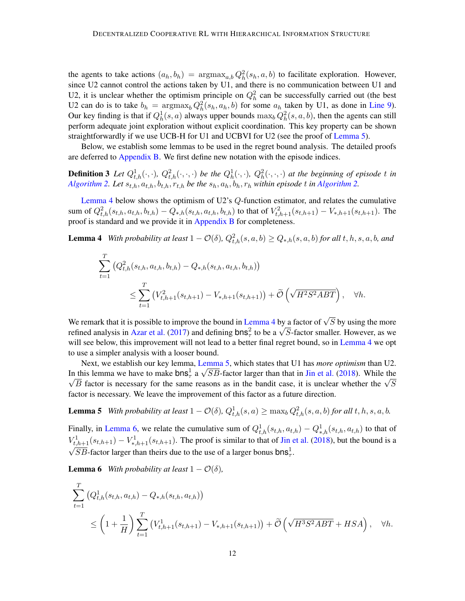the agents to take actions  $(a_h, b_h) = \text{argmax}_{a,b} Q_h^2(s_h, a, b)$  to facilitate exploration. However, since U2 cannot control the actions taken by U1, and there is no communication between U1 and U2, it is unclear whether the optimism principle on  $Q_h^2$  can be successfully carried out (the best U2 can do is to take  $b_h = \text{argmax}_b Q_h^2(s_h, a_h, b)$  for some  $a_h$  taken by U1, as done in [Line 9\)](#page-10-5). Our key finding is that if  $Q_h^1(s, a)$  always upper bounds  $\max_b Q_h^2(s, a, b)$ , then the agents can still perform adequate joint exploration without explicit coordination. This key property can be shown straightforwardly if we use UCB-H for U1 and UCBVI for U2 (see the proof of [Lemma 5\)](#page-11-0).

Below, we establish some lemmas to be used in the regret bound analysis. The detailed proofs are deferred to [Appendix B.](#page-17-0) We first define new notation with the episode indices.

**Definition 3** Let  $Q_{t,h}^1(\cdot,\cdot)$ ,  $Q_{t,h}^2(\cdot,\cdot,\cdot)$  be the  $Q_h^1(\cdot,\cdot)$ ,  $Q_h^2(\cdot,\cdot,\cdot)$  at the beginning of episode t in *[Algorithm 2.](#page-10-0) Let*  $s_{t,h}$ ,  $a_{t,h}$ ,  $b_{t,h}$ ,  $r_{t,h}$  *be the*  $s_h$ ,  $a_h$ ,  $b_h$ ,  $r_h$  *within episode t in Algorithm 2.* 

[Lemma 4](#page-11-1) below shows the optimism of U2's  $Q$ -function estimator, and relates the cumulative sum of  $Q_{t,h}^2(s_{t,h}, a_{t,h}, b_{t,h}) - Q_{*,h}(s_{t,h}, a_{t,h}, b_{t,h})$  to that of  $V_{t,h+1}^2(s_{t,h+1}) - V_{*,h+1}(s_{t,h+1})$ . The proof is standard and we provide it in [Appendix B](#page-17-0) for completeness.

**Lemma 4** *With probability at least*  $1 - \mathcal{O}(\delta)$ ,  $Q_{t,h}^2(s, a, b) \geq Q_{*,h}(s, a, b)$  *for all*  $t, h, s, a, b$ *, and* 

<span id="page-11-1"></span>
$$
\sum_{t=1}^{T} (Q_{t,h}^{2}(s_{t,h}, a_{t,h}, b_{t,h}) - Q_{*,h}(s_{t,h}, a_{t,h}, b_{t,h}))
$$
\n
$$
\leq \sum_{t=1}^{T} (V_{t,h+1}^{2}(s_{t,h+1}) - V_{*,h+1}(s_{t,h+1})) + \tilde{O}\left(\sqrt{H^{2}S^{2}ABT}\right), \quad \forall h.
$$

We remark that it is possible to improve the bound in [Lemma 4](#page-11-1) by a factor of  $\sqrt{S}$  by using the more we remark that it is possible to improve the bound in Lemma 4 by a factor of  $\sqrt{s}$  by using the more refined analysis in [Azar et al.](#page-14-4) [\(2017\)](#page-14-4) and defining  $b \text{ns}_\tau^2$  to be a  $\sqrt{s}$ -factor smaller. However, as we will see below, this improvement will not lead to a better final regret bound, so in [Lemma 4](#page-11-1) we opt to use a simpler analysis with a looser bound.

Next, we establish our key lemma, [Lemma 5,](#page-11-0) which states that U1 has *more optimism* than U2. In this lemma we have to make  $\text{bns}^1_\tau$  a  $\sqrt{SB}$ -factor larger than that in [Jin et al.](#page-15-4) [\(2018\)](#page-15-4). While the This lemma we have to make  $\text{oris}_{\tau}$  a  $\sqrt{5}B$ -lactor larger than that in Jin et al. (2018). While the  $\sqrt{S}$  factor is necessary for the same reasons as in the bandit case, it is unclear whether the  $\sqrt{S}$ factor is necessary. We leave the improvement of this factor as a future direction.

<span id="page-11-0"></span>**Lemma 5** *With probability at least*  $1 - \mathcal{O}(\delta)$ ,  $Q_{t,h}^1(s, a) \ge \max_b Q_{t,h}^2(s, a, b)$  *for all*  $t, h, s, a, b$ *.* 

Finally, in [Lemma 6,](#page-11-2) we relate the cumulative sum of  $Q_{t,h}^1(s_{t,h}, a_{t,h}) - Q_{*,h}^1(s_{t,h}, a_{t,h})$  to that of  $V_{t,h+1}^1(s_{t,h+1}) - V_{*,h+1}^1(s_{t,h+1})$ . The proof is similar to that of [Jin et al.](#page-15-4) [\(2018\)](#page-15-4), but the bound is a  $\overline{SB}$ -factor larger than theirs due to the use of a larger bonus  $\textsf{bns}_\tau^1$ .

**Lemma 6** *With probability at least*  $1 - \mathcal{O}(\delta)$ *,* 

<span id="page-11-2"></span>
$$
\sum_{t=1}^{T} (Q_{t,h}^1(s_{t,h}, a_{t,h}) - Q_{*,h}(s_{t,h}, a_{t,h}))
$$
\n
$$
\leq \left(1 + \frac{1}{H}\right) \sum_{t=1}^{T} (V_{t,h+1}^1(s_{t,h+1}) - V_{*,h+1}(s_{t,h+1})) + \widetilde{\mathcal{O}}\left(\sqrt{H^3 S^2 A B T} + H S A\right), \quad \forall h.
$$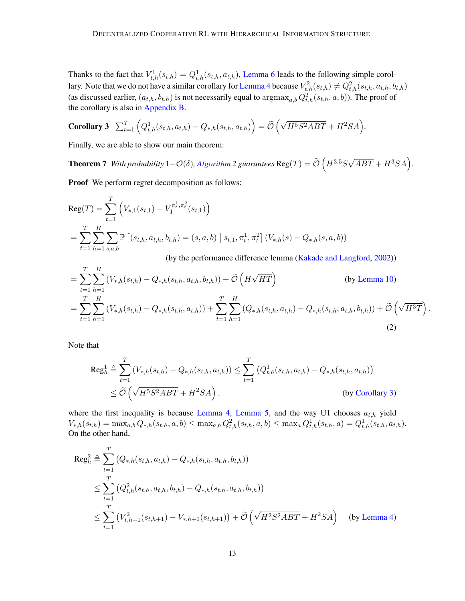Thanks to the fact that  $V_{t,h}^1(s_{t,h}) = Q_{t,h}^1(s_{t,h}, a_{t,h})$ , [Lemma 6](#page-11-2) leads to the following simple corol-lary. Note that we do not have a similar corollary for [Lemma 4](#page-11-1) because  $V_{t,h}^2(s_{t,h}) \neq Q_{t,h}^2(s_{t,h},a_{t,h},b_{t,h})$ (as discussed earlier,  $(a_{t,h}, b_{t,h})$  is not necessarily equal to  $\argmax_{a,b} Q_{t,h}^2(s_{t,h}, a, b)$ ). The proof of the corollary is also in [Appendix B.](#page-17-0)

<span id="page-12-0"></span>Corollary 3 
$$
\sum_{t=1}^{T} \left( Q_{t,h}^1(s_{t,h}, a_{t,h}) - Q_{*,h}(s_{t,h}, a_{t,h}) \right) = \widetilde{\mathcal{O}}\left(\sqrt{H^5 S^2 A B T} + H^2 S A\right).
$$

Finally, we are able to show our main theorem:

**Theorem 7** *With probability*  $1-\mathcal{O}(\delta)$ , *Algorithm* 2 *guarantees*  $\text{Reg}(T) = \tilde{\mathcal{O}}\left(H^{3.5}S\sqrt{ABT} + H^3SA\right)$ .

Proof We perform regret decomposition as follows:

Reg
$$
(T)
$$
 =  $\sum_{t=1}^{T} \left( V_{*,1}(s_{t,1}) - V_1^{\pi_t^1, \pi_t^2}(s_{t,1}) \right)$   
\n=  $\sum_{t=1}^{T} \sum_{h=1}^{H} \sum_{s,a,b} \mathbb{P} \left[ (s_{t,h}, a_{t,h}, b_{t,h}) = (s, a, b) \mid s_{t,1}, \pi_t^1, \pi_t^2 \right] (V_{*,h}(s) - Q_{*,h}(s, a, b))$   
\n(by the performance difference lemma (Kakade and Langford, 2002))

$$
= \sum_{t=1}^{T} \sum_{h=1}^{H} (V_{*,h}(s_{t,h}) - Q_{*,h}(s_{t,h}, a_{t,h}, b_{t,h})) + \widetilde{O}\left(H\sqrt{HT}\right)
$$
 (by Lemma 10)  

$$
= \sum_{t=1}^{T} \sum_{h=1}^{H} (V_{*,h}(s_{t,h}) - Q_{*,h}(s_{t,h}, a_{t,h})) + \sum_{t=1}^{T} \sum_{h=1}^{H} (Q_{*,h}(s_{t,h}, a_{t,h}) - Q_{*,h}(s_{t,h}, a_{t,h}, b_{t,h})) + \widetilde{O}\left(\sqrt{H^{3}T}\right).
$$
 (2)

Note that

<span id="page-12-1"></span>
$$
\operatorname{Reg}_h^1 \triangleq \sum_{t=1}^T \left( V_{*,h}(s_{t,h}) - Q_{*,h}(s_{t,h}, a_{t,h}) \right) \le \sum_{t=1}^T \left( Q_{t,h}^1(s_{t,h}, a_{t,h}) - Q_{*,h}(s_{t,h}, a_{t,h}) \right)
$$
  
 
$$
\le \widetilde{\mathcal{O}} \left( \sqrt{H^5 S^2 A B T} + H^2 S A \right), \qquad \text{(by Corollary 3)}
$$

where the first inequality is because [Lemma 4,](#page-11-1) [Lemma 5,](#page-11-0) and the way U1 chooses  $a_{t,h}$  yield  $V_{*,h}(s_{t,h}) = \max_{a,b} Q_{*,h}(s_{t,h}, a, b) \leq \max_{a,b} Q_{t,h}^{2}(s_{t,h}, a, b) \leq \max_{a} Q_{t,h}^{1}(s_{t,h}, a) = Q_{t,h}^{1}(s_{t,h}, a_{t,h}).$ On the other hand,

$$
\operatorname{Reg}_{h}^{2} \triangleq \sum_{t=1}^{T} (Q_{*,h}(s_{t,h}, a_{t,h}) - Q_{*,h}(s_{t,h}, a_{t,h}, b_{t,h}))
$$
  
\n
$$
\leq \sum_{t=1}^{T} (Q_{t,h}^{2}(s_{t,h}, a_{t,h}, b_{t,h}) - Q_{*,h}(s_{t,h}, a_{t,h}, b_{t,h}))
$$
  
\n
$$
\leq \sum_{t=1}^{T} (V_{t,h+1}^{2}(s_{t,h+1}) - V_{*,h+1}(s_{t,h+1})) + \tilde{O}(\sqrt{H^{2}S^{2}ABT} + H^{2}SA)
$$
 (by Lemma 4)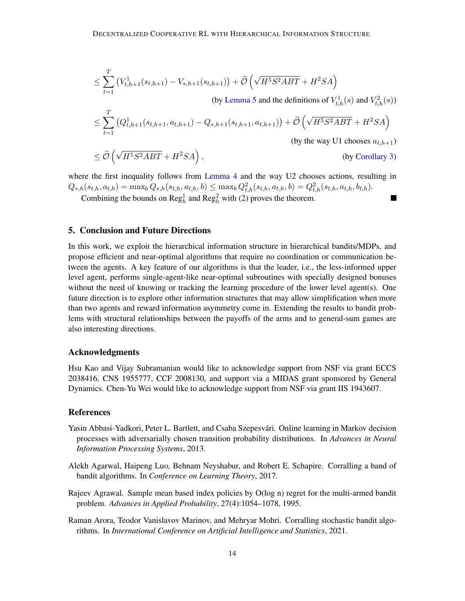$$
\leq \sum_{t=1}^{T} \left( V_{t,h+1}^{1}(s_{t,h+1}) - V_{*,h+1}(s_{t,h+1}) \right) + \widetilde{\mathcal{O}} \left( \sqrt{H^{5}S^{2}ABT} + H^{2}SA \right)
$$
\n(by Lemma 5 and the definitions of  $V_{t,h}^{1}(s)$  and  $V_{t,h}^{2}(s)$ )\n
$$
\leq \sum_{t=1}^{T} \left( Q_{t,h+1}^{1}(s_{t,h+1}, a_{t,h+1}) - Q_{*,h+1}(s_{t,h+1}, a_{t,h+1}) \right) + \widetilde{\mathcal{O}} \left( \sqrt{H^{5}S^{2}ABT} + H^{2}SA \right)
$$
\n(by the way U1 chooses  $a_{t,h+1}$ )\n
$$
< \widetilde{\mathcal{O}} \left( \sqrt{H^{5}S^{2}ABT} + H^{2}SA \right)
$$
\n(by Corollary 3)

$$
\leq \widetilde{\mathcal{O}}\left(\sqrt{H^5 S^2 A B T} + H^2 S A\right), \tag{by Corollary 3}
$$

where the first inequality follows from [Lemma 4](#page-11-1) and the way U2 chooses actions, resulting in  $Q_{*,h}(s_{t,h}, a_{t,h}) = \max_b Q_{*,h}(s_{t,h}, a_{t,h}, b) \leq \max_b Q_{t,h}^2(s_{t,h}, a_{t,h}, b) = Q_{t,h}^2(s_{t,h}, a_{t,h}, b_{t,h}).$ 

Combining the bounds on  $\text{Reg}^1_h$  and  $\text{Reg}^2_h$  with [\(2\)](#page-12-1) proves the theorem.

## 5. Conclusion and Future Directions

In this work, we exploit the hierarchical information structure in hierarchical bandits/MDPs, and propose efficient and near-optimal algorithms that require no coordination or communication between the agents. A key feature of our algorithms is that the leader, i.e., the less-informed upper level agent, performs single-agent-like near-optimal subroutines with specially designed bonuses without the need of knowing or tracking the learning procedure of the lower level agent(s). One future direction is to explore other information structures that may allow simplification when more than two agents and reward information asymmetry come in. Extending the results to bandit problems with structural relationships between the payoffs of the arms and to general-sum games are also interesting directions.

#### Acknowledgments

Hsu Kao and Vijay Subramanian would like to acknowledge support from NSF via grant ECCS 2038416, CNS 1955777, CCF 2008130, and support via a MIDAS grant sponsored by General Dynamics. Chen-Yu Wei would like to acknowledge support from NSF via grant IIS 1943607.

#### **References**

- <span id="page-13-2"></span>Yasin Abbasi-Yadkori, Peter L. Bartlett, and Csaba Szepesvári. Online learning in Markov decision processes with adversarially chosen transition probability distributions. In *Advances in Neural Information Processing Systems*, 2013.
- <span id="page-13-0"></span>Alekh Agarwal, Haipeng Luo, Behnam Neyshabur, and Robert E. Schapire. Corralling a band of bandit algorithms. In *Conference on Learning Theory*, 2017.
- <span id="page-13-3"></span>Rajeev Agrawal. Sample mean based index policies by O(log n) regret for the multi-armed bandit problem. *Advances in Applied Probability*, 27(4):1054–1078, 1995.
- <span id="page-13-1"></span>Raman Arora, Teodor Vanislavov Marinov, and Mehryar Mohri. Corralling stochastic bandit algorithms. In *International Conference on Artificial Intelligence and Statistics*, 2021.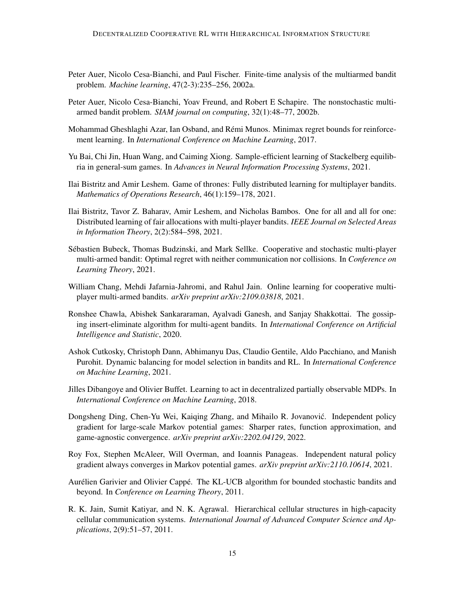- <span id="page-14-2"></span>Peter Auer, Nicolo Cesa-Bianchi, and Paul Fischer. Finite-time analysis of the multiarmed bandit problem. *Machine learning*, 47(2-3):235–256, 2002a.
- <span id="page-14-13"></span>Peter Auer, Nicolo Cesa-Bianchi, Yoav Freund, and Robert E Schapire. The nonstochastic multiarmed bandit problem. *SIAM journal on computing*, 32(1):48–77, 2002b.
- <span id="page-14-4"></span>Mohammad Gheshlaghi Azar, Ian Osband, and Remi Munos. Minimax regret bounds for reinforce- ´ ment learning. In *International Conference on Machine Learning*, 2017.
- <span id="page-14-5"></span>Yu Bai, Chi Jin, Huan Wang, and Caiming Xiong. Sample-efficient learning of Stackelberg equilibria in general-sum games. In *Advances in Neural Information Processing Systems*, 2021.
- <span id="page-14-6"></span>Ilai Bistritz and Amir Leshem. Game of thrones: Fully distributed learning for multiplayer bandits. *Mathematics of Operations Research*, 46(1):159–178, 2021.
- <span id="page-14-7"></span>Ilai Bistritz, Tavor Z. Baharav, Amir Leshem, and Nicholas Bambos. One for all and all for one: Distributed learning of fair allocations with multi-player bandits. *IEEE Journal on Selected Areas in Information Theory*, 2(2):584–598, 2021.
- <span id="page-14-8"></span>Sebastien Bubeck, Thomas Budzinski, and Mark Sellke. Cooperative and stochastic multi-player ´ multi-armed bandit: Optimal regret with neither communication nor collisions. In *Conference on Learning Theory*, 2021.
- <span id="page-14-0"></span>William Chang, Mehdi Jafarnia-Jahromi, and Rahul Jain. Online learning for cooperative multiplayer multi-armed bandits. *arXiv preprint arXiv:2109.03818*, 2021.
- <span id="page-14-9"></span>Ronshee Chawla, Abishek Sankararaman, Ayalvadi Ganesh, and Sanjay Shakkottai. The gossiping insert-eliminate algorithm for multi-agent bandits. In *International Conference on Artificial Intelligence and Statistic*, 2020.
- <span id="page-14-3"></span>Ashok Cutkosky, Christoph Dann, Abhimanyu Das, Claudio Gentile, Aldo Pacchiano, and Manish Purohit. Dynamic balancing for model selection in bandits and RL. In *International Conference on Machine Learning*, 2021.
- <span id="page-14-1"></span>Jilles Dibangoye and Olivier Buffet. Learning to act in decentralized partially observable MDPs. In *International Conference on Machine Learning*, 2018.
- <span id="page-14-11"></span>Dongsheng Ding, Chen-Yu Wei, Kaiqing Zhang, and Mihailo R. Jovanovic. Independent policy ´ gradient for large-scale Markov potential games: Sharper rates, function approximation, and game-agnostic convergence. *arXiv preprint arXiv:2202.04129*, 2022.
- <span id="page-14-10"></span>Roy Fox, Stephen McAleer, Will Overman, and Ioannis Panageas. Independent natural policy gradient always converges in Markov potential games. *arXiv preprint arXiv:2110.10614*, 2021.
- <span id="page-14-12"></span>Aurélien Garivier and Olivier Cappé. The KL-UCB algorithm for bounded stochastic bandits and beyond. In *Conference on Learning Theory*, 2011.
- <span id="page-14-14"></span>R. K. Jain, Sumit Katiyar, and N. K. Agrawal. Hierarchical cellular structures in high-capacity cellular communication systems. *International Journal of Advanced Computer Science and Applications*, 2(9):51–57, 2011.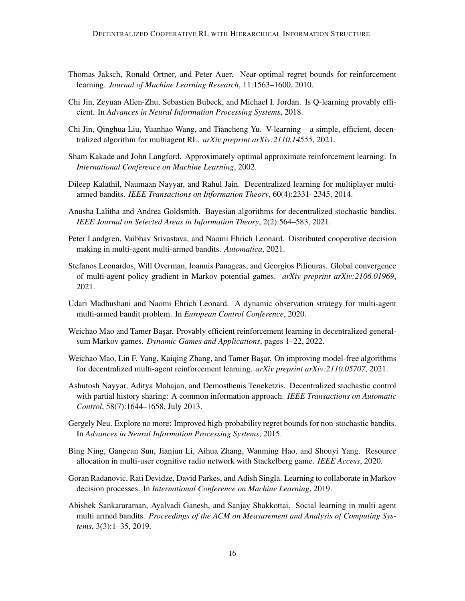- <span id="page-15-15"></span>Thomas Jaksch, Ronald Ortner, and Peter Auer. Near-optimal regret bounds for reinforcement learning. *Journal of Machine Learning Research*, 11:1563–1600, 2010.
- <span id="page-15-4"></span>Chi Jin, Zeyuan Allen-Zhu, Sebastien Bubeck, and Michael I. Jordan. Is Q-learning provably efficient. In *Advances in Neural Information Processing Systems*, 2018.
- <span id="page-15-10"></span>Chi Jin, Qinghua Liu, Yuanhao Wang, and Tiancheng Yu. V-learning – a simple, efficient, decentralized algorithm for multiagent RL. *arXiv preprint arXiv:2110.14555*, 2021.
- <span id="page-15-14"></span>Sham Kakade and John Langford. Approximately optimal approximate reinforcement learning. In *International Conference on Machine Learning*, 2002.
- <span id="page-15-2"></span>Dileep Kalathil, Naumaan Nayyar, and Rahul Jain. Decentralized learning for multiplayer multiarmed bandits. *IEEE Transactions on Information Theory*, 60(4):2331–2345, 2014.
- <span id="page-15-6"></span>Anusha Lalitha and Andrea Goldsmith. Bayesian algorithms for decentralized stochastic bandits. *IEEE Journal on Selected Areas in Information Theory*, 2(2):564–583, 2021.
- <span id="page-15-8"></span>Peter Landgren, Vaibhav Srivastava, and Naomi Ehrich Leonard. Distributed cooperative decision making in multi-agent multi-armed bandits. *Automatica*, 2021.
- <span id="page-15-3"></span>Stefanos Leonardos, Will Overman, Ioannis Panageas, and Georgios Piliouras. Global convergence of multi-agent policy gradient in Markov potential games. *arXiv preprint arXiv:2106.01969*, 2021.
- <span id="page-15-5"></span>Udari Madhushani and Naomi Ehrich Leonard. A dynamic observation strategy for multi-agent multi-armed bandit problem. In *European Control Conference*, 2020.
- <span id="page-15-11"></span>Weichao Mao and Tamer Başar. Provably efficient reinforcement learning in decentralized generalsum Markov games. *Dynamic Games and Applications*, pages 1–22, 2022.
- <span id="page-15-12"></span>Weichao Mao, Lin F. Yang, Kaiqing Zhang, and Tamer Başar. On improving model-free algorithms for decentralized multi-agent reinforcement learning. *arXiv preprint arXiv:2110.05707*, 2021.
- <span id="page-15-0"></span>Ashutosh Nayyar, Aditya Mahajan, and Demosthenis Teneketzis. Decentralized stochastic control with partial history sharing: A common information approach. *IEEE Transactions on Automatic Control*, 58(7):1644–1658, July 2013.
- <span id="page-15-13"></span>Gergely Neu. Explore no more: Improved high-probability regret bounds for non-stochastic bandits. In *Advances in Neural Information Processing Systems*, 2015.
- <span id="page-15-1"></span>Bing Ning, Gangcan Sun, Jianjun Li, Aihua Zhang, Wanming Hao, and Shouyi Yang. Resource allocation in multi-user cognitive radio network with Stackelberg game. *IEEE Access*, 2020.
- <span id="page-15-9"></span>Goran Radanovic, Rati Devidze, David Parkes, and Adish Singla. Learning to collaborate in Markov decision processes. In *International Conference on Machine Learning*, 2019.
- <span id="page-15-7"></span>Abishek Sankararaman, Ayalvadi Ganesh, and Sanjay Shakkottai. Social learning in multi agent multi armed bandits. *Proceedings of the ACM on Measurement and Analysis of Computing Systems*, 3(3):1–35, 2019.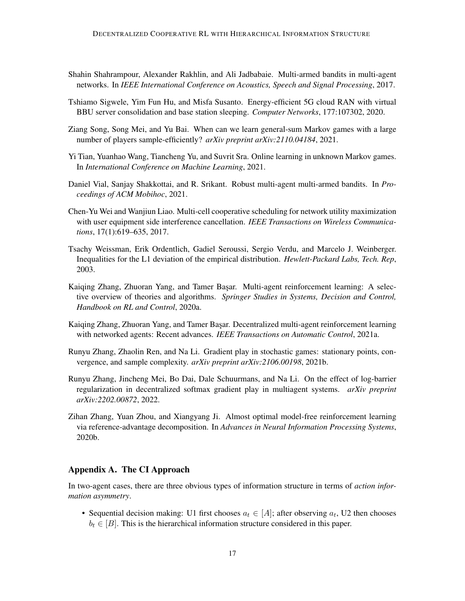- <span id="page-16-1"></span>Shahin Shahrampour, Alexander Rakhlin, and Ali Jadbabaie. Multi-armed bandits in multi-agent networks. In *IEEE International Conference on Acoustics, Speech and Signal Processing*, 2017.
- <span id="page-16-10"></span>Tshiamo Sigwele, Yim Fun Hu, and Misfa Susanto. Energy-efficient 5G cloud RAN with virtual BBU server consolidation and base station sleeping. *Computer Networks*, 177:107302, 2020.
- <span id="page-16-7"></span>Ziang Song, Song Mei, and Yu Bai. When can we learn general-sum Markov games with a large number of players sample-efficiently? *arXiv preprint arXiv:2110.04184*, 2021.
- <span id="page-16-4"></span>Yi Tian, Yuanhao Wang, Tiancheng Yu, and Suvrit Sra. Online learning in unknown Markov games. In *International Conference on Machine Learning*, 2021.
- <span id="page-16-3"></span>Daniel Vial, Sanjay Shakkottai, and R. Srikant. Robust multi-agent multi-armed bandits. In *Proceedings of ACM Mobihoc*, 2021.
- <span id="page-16-9"></span>Chen-Yu Wei and Wanjiun Liao. Multi-cell cooperative scheduling for network utility maximization with user equipment side interference cancellation. *IEEE Transactions on Wireless Communications*, 17(1):619–635, 2017.
- <span id="page-16-12"></span>Tsachy Weissman, Erik Ordentlich, Gadiel Seroussi, Sergio Verdu, and Marcelo J. Weinberger. Inequalities for the L1 deviation of the empirical distribution. *Hewlett-Packard Labs, Tech. Rep*, 2003.
- <span id="page-16-0"></span>Kaiqing Zhang, Zhuoran Yang, and Tamer Başar. Multi-agent reinforcement learning: A selective overview of theories and algorithms. *Springer Studies in Systems, Decision and Control, Handbook on RL and Control*, 2020a.
- <span id="page-16-2"></span>Kaiqing Zhang, Zhuoran Yang, and Tamer Başar. Decentralized multi-agent reinforcement learning with networked agents: Recent advances. *IEEE Transactions on Automatic Control*, 2021a.
- <span id="page-16-5"></span>Runyu Zhang, Zhaolin Ren, and Na Li. Gradient play in stochastic games: stationary points, convergence, and sample complexity. *arXiv preprint arXiv:2106.00198*, 2021b.
- <span id="page-16-6"></span>Runyu Zhang, Jincheng Mei, Bo Dai, Dale Schuurmans, and Na Li. On the effect of log-barrier regularization in decentralized softmax gradient play in multiagent systems. *arXiv preprint arXiv:2202.00872*, 2022.
- <span id="page-16-11"></span>Zihan Zhang, Yuan Zhou, and Xiangyang Ji. Almost optimal model-free reinforcement learning via reference-advantage decomposition. In *Advances in Neural Information Processing Systems*, 2020b.

## <span id="page-16-8"></span>Appendix A. The CI Approach

In two-agent cases, there are three obvious types of information structure in terms of *action information asymmetry*.

• Sequential decision making: U1 first chooses  $a_t \in [A]$ ; after observing  $a_t$ , U2 then chooses  $b_t \in [B]$ . This is the hierarchical information structure considered in this paper.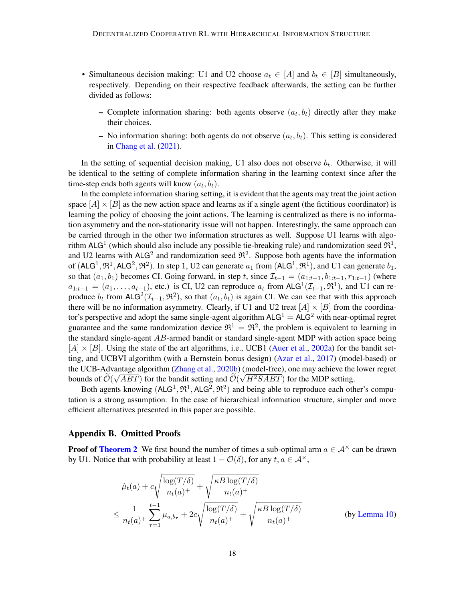- Simultaneous decision making: U1 and U2 choose  $a_t \in [A]$  and  $b_t \in [B]$  simultaneously, respectively. Depending on their respective feedback afterwards, the setting can be further divided as follows:
	- Complete information sharing: both agents observe  $(a_t, b_t)$  directly after they make their choices.
	- No information sharing: both agents do not observe  $(a_t, b_t)$ . This setting is considered in [Chang et al.](#page-14-0) [\(2021\)](#page-14-0).

In the setting of sequential decision making, U1 also does not observe  $b_t$ . Otherwise, it will be identical to the setting of complete information sharing in the learning context since after the time-step ends both agents will know  $(a_t, b_t)$ .

In the complete information sharing setting, it is evident that the agents may treat the joint action space  $[A] \times [B]$  as the new action space and learns as if a single agent (the fictitious coordinator) is learning the policy of choosing the joint actions. The learning is centralized as there is no information asymmetry and the non-stationarity issue will not happen. Interestingly, the same approach can be carried through in the other two information structures as well. Suppose U1 learns with algorithm ALG<sup>1</sup> (which should also include any possible tie-breaking rule) and randomization seed  $\mathfrak{R}^1$ , and U2 learns with ALG<sup>2</sup> and randomization seed  $\mathfrak{R}^2$ . Suppose both agents have the information of  $(ALG^1, \mathfrak{R}^1, ALG^2, \mathfrak{R}^2)$ . In step 1, U2 can generate  $a_1$  from  $(ALG^1, \mathfrak{R}^1)$ , and U1 can generate  $b_1$ , so that  $(a_1, b_1)$  becomes CI. Going forward, in step t, since  $\mathcal{I}_{t-1} = (a_{1:t-1}, b_{1:t-1}, r_{1:t-1})$  (where  $a_{1:t-1} = (a_1, \ldots, a_{t-1})$ , etc.) is CI, U2 can reproduce  $a_t$  from ALG<sup>1</sup>( $\mathcal{I}_{t-1}, \mathfrak{R}^1$ ), and U1 can reproduce  $b_t$  from ALG<sup>2</sup>( $\mathcal{I}_{t-1}, \Re^2$ ), so that  $(a_t, b_t)$  is again CI. We can see that with this approach there will be no information asymmetry. Clearly, if U1 and U2 treat  $[A] \times [B]$  from the coordinator's perspective and adopt the same single-agent algorithm  $ALG<sup>1</sup> = ALG<sup>2</sup>$  with near-optimal regret guarantee and the same randomization device  $\mathfrak{R}^1 = \mathfrak{R}^2$ , the problem is equivalent to learning in the standard single-agent  $AB$ -armed bandit or standard single-agent MDP with action space being  $[A] \times [B]$ . Using the state of the art algorithms, i.e., UCB1 [\(Auer et al.,](#page-14-2) [2002a\)](#page-14-2) for the bandit setting, and UCBVI algorithm (with a Bernstein bonus design) [\(Azar et al.,](#page-14-4) [2017\)](#page-14-4) (model-based) or the UCB-Advantage algorithm [\(Zhang et al.,](#page-16-11) [2020b\)](#page-16-11) (model-free), one may achieve the lower regret bounds of  $\mathcal{O}(\sqrt{ABT})$  for the bandit setting and  $\mathcal{O}(\sqrt{H^2SABT})$  for the MDP setting.

Both agents knowing  $(ALG^1, \mathfrak{R}^1, ALG^2, \mathfrak{R}^2)$  and being able to reproduce each other's computation is a strong assumption. In the case of hierarchical information structure, simpler and more efficient alternatives presented in this paper are possible.

## <span id="page-17-0"></span>Appendix B. Omitted Proofs

**Proof of [Theorem 2](#page-8-0)** We first bound the number of times a sub-optimal arm  $a \in A^{\times}$  can be drawn by U1. Notice that with probability at least  $1 - \mathcal{O}(\delta)$ , for any  $t, a \in \mathcal{A}^{\times}$ ,

$$
\hat{\mu}_t(a) + c \sqrt{\frac{\log(T/\delta)}{n_t(a)^+}} + \sqrt{\frac{\kappa B \log(T/\delta)}{n_t(a)^+}}
$$
\n
$$
\leq \frac{1}{n_t(a)^+} \sum_{\tau=1}^{t-1} \mu_{a,b_\tau} + 2c \sqrt{\frac{\log(T/\delta)}{n_t(a)^+}} + \sqrt{\frac{\kappa B \log(T/\delta)}{n_t(a)^+}}
$$
\n(by Lemma 10)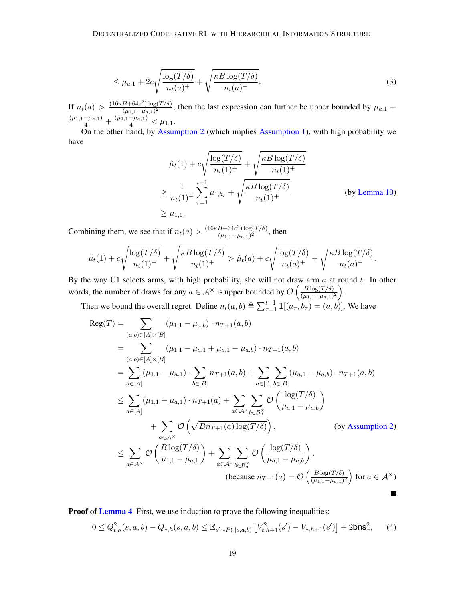$$
\leq \mu_{a,1} + 2c\sqrt{\frac{\log(T/\delta)}{n_t(a)^+}} + \sqrt{\frac{\kappa B \log(T/\delta)}{n_t(a)^+}}.
$$
\n(3)

If  $n_t(a) > \frac{(16\kappa B + 64c^2) \log(T/\delta)}{(111 - 16c^2)^2}$  $\frac{B+64c^2 \log(1/\delta)}{(\mu_{1,1}-\mu_{a,1})^2}$ , then the last expression can further be upper bounded by  $\mu_{a,1}$  +  $\frac{(\mu_{1,1}-\mu_{a,1})}{4}+\frac{(\mu_{1,1}-\mu_{a,1})}{4}<\mu_{1,1}.$ 

On the other hand, by [Assumption 2](#page-7-0) (which implies [Assumption 1\)](#page-5-0), with high probability we have

$$
\hat{\mu}_t(1) + c \sqrt{\frac{\log(T/\delta)}{n_t(1)^+}} + \sqrt{\frac{\kappa B \log(T/\delta)}{n_t(1)^+}}
$$
\n
$$
\geq \frac{1}{n_t(1)^+} \sum_{\tau=1}^{t-1} \mu_{1,b_\tau} + \sqrt{\frac{\kappa B \log(T/\delta)}{n_t(1)^+}}
$$
\n(by Lemma 10)\n
$$
\geq \mu_{1,1}.
$$

Combining them, we see that if  $n_t(a) > \frac{(16\kappa B + 64c^2) \log(T/\delta)}{(111 - 11\kappa)^2}$  $\frac{B+04c^{-} \log(1/\theta)}{(\mu_{1,1}-\mu_{a,1})^2}$ , then

$$
\hat{\mu}_t(1) + c\sqrt{\frac{\log(T/\delta)}{n_t(1)^+}} + \sqrt{\frac{\kappa B\log(T/\delta)}{n_t(1)^+}} > \hat{\mu}_t(a) + c\sqrt{\frac{\log(T/\delta)}{n_t(a)^+}} + \sqrt{\frac{\kappa B\log(T/\delta)}{n_t(a)^+}}.
$$

By the way U1 selects arms, with high probability, she will not draw arm  $a$  at round  $t$ . In other words, the number of draws for any  $a \in A^{\times}$  is upper bounded by  $\mathcal{O}\left(\frac{B\log(T/\delta)}{(m+n-1)}\right)$  $\frac{B\log(T/\delta)}{(\mu_{1,1}-\mu_{a,1})^2}$ .

Then we bound the overall regret. Define  $n_t(a, b) \triangleq \sum_{\tau=1}^{t-1} \mathbf{1}[(a_\tau, b_\tau) = (a, b)]$ . We have

$$
\operatorname{Reg}(T) = \sum_{(a,b)\in[A]\times[B]} (\mu_{1,1} - \mu_{a,b}) \cdot n_{T+1}(a,b)
$$
\n
$$
= \sum_{(a,b)\in[A]\times[B]} (\mu_{1,1} - \mu_{a,1} + \mu_{a,1} - \mu_{a,b}) \cdot n_{T+1}(a,b)
$$
\n
$$
= \sum_{a\in[A]} (\mu_{1,1} - \mu_{a,1}) \cdot \sum_{b\in[B]} n_{T+1}(a,b) + \sum_{a\in[A]} \sum_{b\in[B]} (\mu_{a,1} - \mu_{a,b}) \cdot n_{T+1}(a,b)
$$
\n
$$
\leq \sum_{a\in[A]} (\mu_{1,1} - \mu_{a,1}) \cdot n_{T+1}(a) + \sum_{a\in A^{\circ}} \sum_{b\in B^{\times}_{a}} \mathcal{O}\left(\frac{\log(T/\delta)}{\mu_{a,1} - \mu_{a,b}}\right)
$$
\n
$$
+ \sum_{a\in A^{\times}} \mathcal{O}\left(\sqrt{Bn_{T+1}(a)\log(T/\delta)}\right), \qquad \text{(by Assumption 2)}
$$
\n
$$
\leq \sum_{a\in A^{\times}} \mathcal{O}\left(\frac{B\log(T/\delta)}{\mu_{1,1} - \mu_{a,1}}\right) + \sum_{a\in A^{\circ}} \sum_{b\in B^{\times}_{a}} \mathcal{O}\left(\frac{\log(T/\delta)}{\mu_{a,1} - \mu_{a,b}}\right).
$$
\n
$$
\text{(because } n_{T+1}(a) = \mathcal{O}\left(\frac{B\log(T/\delta)}{(\mu_{1,1} - \mu_{a,1})^2}\right) \text{ for } a \in A^{\times})
$$

**Proof of [Lemma 4](#page-11-1)** First, we use induction to prove the following inequalities:

<span id="page-18-0"></span>
$$
0 \le Q_{t,h}^2(s, a, b) - Q_{*,h}(s, a, b) \le \mathbb{E}_{s' \sim P(\cdot | s, a, b)} \left[ V_{t,h+1}^2(s') - V_{*,h+1}(s') \right] + 2 \mathsf{bn} \mathsf{s}^2_{\tau},\tag{4}
$$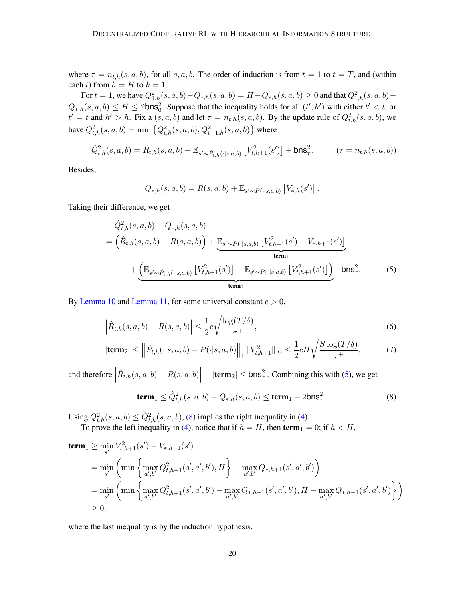where  $\tau = n_{t,h}(s, a, b)$ , for all s, a, b. The order of induction is from  $t = 1$  to  $t = T$ , and (within each t) from  $h = H$  to  $h = 1$ .

For  $t = 1$ , we have  $Q_{1,h}^2(s, a, b) - Q_{*,h}(s, a, b) = H - Q_{*,h}(s, a, b) \ge 0$  and that  $Q_{1,h}^2(s, a, b) - Q_{*,h}(s, a, b)$  $Q_{*,h}(s,a,b) \le H \le 2 \text{bns}_0^2$ . Suppose that the inequality holds for all  $(t',h')$  with either  $t' < t$ , or  $t' = t$  and  $h' > h$ . Fix a  $(s, a, b)$  and let  $\tau = n_{t,h}(s, a, b)$ . By the update rule of  $Q_{t,h}^2(s, a, b)$ , we have  $Q_{t,h}^2(s, a, b) = \min \left\{ \hat{Q}_{t,h}^2(s, a, b), Q_{t-1,h}^2(s, a, b) \right\}$  where

$$
\hat{Q}_{t,h}^2(s,a,b) = \hat{R}_{t,h}(s,a,b) + \mathbb{E}_{s' \sim \hat{P}_{t,h}(\cdot|s,a,b)} \left[ V_{t,h+1}^2(s') \right] + \mathsf{bns}_\tau^2. \qquad (\tau = n_{t,h}(s,a,b))
$$

Besides,

<span id="page-19-0"></span>
$$
Q_{*,h}(s,a,b) = R(s,a,b) + \mathbb{E}_{s' \sim P(\cdot|s,a,b)} [V_{*,h}(s')].
$$

Taking their difference, we get

$$
\hat{Q}_{t,h}^{2}(s,a,b) - Q_{*,h}(s,a,b)
$$
\n
$$
= \left(\hat{R}_{t,h}(s,a,b) - R(s,a,b)\right) + \underbrace{\mathbb{E}_{s'\sim P(\cdot|s,a,b)}\left[V_{t,h+1}^{2}(s') - V_{*,h+1}(s')\right]}_{\text{term}_1} + \underbrace{\left(\mathbb{E}_{s'\sim \hat{P}_{t,h}(\cdot|s,a,b)}\left[V_{t,h+1}^{2}(s')\right] - \mathbb{E}_{s'\sim P(\cdot|s,a,b)}\left[V_{t,h+1}^{2}(s')\right]\right)}_{\text{term}_2} + \text{bnss}_\tau^2.
$$
\n(5)

By [Lemma 10](#page-31-0) and [Lemma 11,](#page-31-1) for some universal constant  $c > 0$ ,

$$
\left|\hat{R}_{t,h}(s,a,b) - R(s,a,b)\right| \le \frac{1}{2}c\sqrt{\frac{\log(T/\delta)}{\tau^+}},\tag{6}
$$

$$
|\textbf{term}_{2}| \leq \left\| \hat{P}_{t,h}(\cdot|s,a,b) - P(\cdot|s,a,b) \right\|_{1} \|V_{t,h+1}^{2}\|_{\infty} \leq \frac{1}{2} c H \sqrt{\frac{S \log(T/\delta)}{\tau^{+}}},\tag{7}
$$

and therefore  $\vert$  $\left| \hat{R}_{t,h}(s,a,b) - R(s,a,b) \right| + |\textbf{term}_2| \le \textbf{bns}_\tau^2$ . Combining this with [\(5\)](#page-19-0), we get

<span id="page-19-3"></span><span id="page-19-2"></span><span id="page-19-1"></span>
$$
\textbf{term}_1 \le \hat{Q}_{t,h}^2(s, a, b) - Q_{*,h}(s, a, b) \le \textbf{term}_1 + 2 \textbf{bn} \mathbf{s}_{\tau}^2. \tag{8}
$$

Using  $Q_{t,h}^2(s, a, b) \le \hat{Q}_{t,h}^2(s, a, b)$ , [\(8\)](#page-19-1) implies the right inequality in [\(4\)](#page-18-0).

To prove the left inequality in [\(4\)](#page-18-0), notice that if  $h = H$ , then term<sub>1</sub> = 0; if  $h < H$ ,

$$
\begin{split}\n&\operatorname{term}_{1} \geq \min_{s'} V_{t,h+1}^{2}(s') - V_{*,h+1}(s') \\
&= \min_{s'} \left( \min \left\{ \max_{a',b'} Q_{t,h+1}^{2}(s',a',b'), H \right\} - \max_{a',b'} Q_{*,h+1}(s',a',b') \right) \\
&= \min_{s'} \left( \min \left\{ \max_{a',b'} Q_{t,h+1}^{2}(s',a',b') - \max_{a',b'} Q_{*,h+1}(s',a',b'), H - \max_{a',b'} Q_{*,h+1}(s',a',b') \right\} \right) \\
&\geq 0.\n\end{split}
$$

where the last inequality is by the induction hypothesis.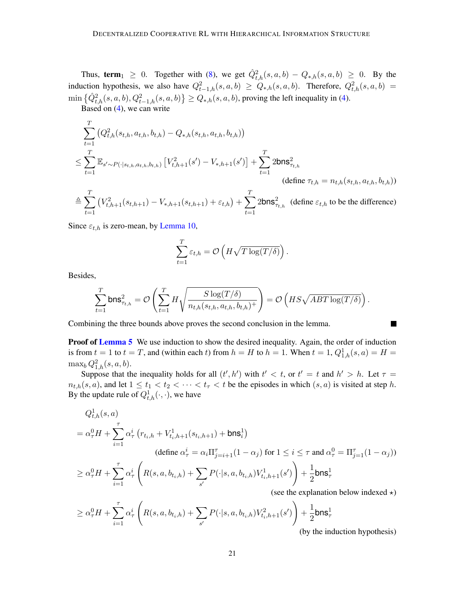Thus, term  $1 \geq 0$ . Together with [\(8\)](#page-19-1), we get  $\hat{Q}_{t,h}^2(s,a,b) - Q_{*,h}(s,a,b) \geq 0$ . By the induction hypothesis, we also have  $Q_{t-1,h}^2(s, a, b) \ge Q_{*,h}(s, a, b)$ . Therefore,  $Q_{t,h}^2(s, a, b)$  =  $\min \left\{ \hat{Q}_{t,h}^2(s,a,b), Q_{t-1,h}^2(s,a,b) \right\} \geq Q_{*,h}(s,a,b)$ , proving the left inequality in [\(4\)](#page-18-0).

Based on  $(4)$ , we can write

$$
\sum_{t=1}^{T} (Q_{t,h}^{2}(s_{t,h}, a_{t,h}, b_{t,h}) - Q_{*,h}(s_{t,h}, a_{t,h}, b_{t,h}))
$$
\n
$$
\leq \sum_{t=1}^{T} \mathbb{E}_{s' \sim P(\cdot|s_{t,h}, a_{t,h}, b_{t,h})} [V_{t,h+1}^{2}(s') - V_{*,h+1}(s')] + \sum_{t=1}^{T} 2 \text{bn} s_{\tau_{t,h}}^{2}
$$
\n(define  $\tau_{t,h} = n_{t,h}(s_{t,h}, a_{t,h}, b_{t,h}))$ )\n
$$
\triangleq \sum_{t=1}^{T} (V_{t,h+1}^{2}(s_{t,h+1}) - V_{*,h+1}(s_{t,h+1}) + \varepsilon_{t,h}) + \sum_{t=1}^{T} 2 \text{bn} s_{\tau_{t,h}}^{2}
$$
\n(define  $\varepsilon_{t,h}$  to be the difference)

Since  $\varepsilon_{t,h}$  is zero-mean, by [Lemma 10,](#page-31-0)

$$
\sum_{t=1}^{T} \varepsilon_{t,h} = \mathcal{O}\left(H\sqrt{T\log(T/\delta)}\right).
$$

Besides,

$$
\sum_{t=1}^T \mathsf{bns}^2_{\tau_{t,h}} = \mathcal{O}\left(\sum_{t=1}^T H \sqrt{\frac{S\log(T/\delta)}{n_{t,h}(s_{t,h},a_{t,h},b_{t,h})^+}}\right) = \mathcal{O}\left(HS\sqrt{ABT\log(T/\delta)}\right).
$$

Combining the three bounds above proves the second conclusion in the lemma.

**Proof of [Lemma 5](#page-11-0)** We use induction to show the desired inequality. Again, the order of induction is from  $t = 1$  to  $t = T$ , and (within each t) from  $h = H$  to  $h = 1$ . When  $t = 1$ ,  $Q_{1,h}^1(s, a) = H =$  $\max_b Q_{1,h}^2(s, a, b).$ 

Suppose that the inequality holds for all  $(t', h')$  with  $t' < t$ , or  $t' = t$  and  $h' > h$ . Let  $\tau =$  $n_{t,h}(s, a)$ , and let  $1 \le t_1 < t_2 < \cdots < t_{\tau} < t$  be the episodes in which  $(s, a)$  is visited at step h. By the update rule of  $Q_{t,h}^1(\cdot,\cdot)$ , we have

$$
Q_{t,h}^1(s, a)
$$
  
=  $\alpha_{\tau}^0 H + \sum_{i=1}^{\tau} \alpha_{\tau}^i (r_{t_i,h} + V_{t_i,h+1}^1(s_{t_i,h+1}) + \text{bns}_i^1)$   
(define  $\alpha_{\tau}^i = \alpha_i \Pi_{j=i+1}^{\tau} (1 - \alpha_j)$  for  $1 \le i \le \tau$  and  $\alpha_{\tau}^0 = \Pi_{j=1}^{\tau} (1 - \alpha_j)$ )  
 $\ge \alpha_{\tau}^0 H + \sum_{i=1}^{\tau} \alpha_{\tau}^i \left( R(s, a, b_{t_i,h}) + \sum_{s'} P(\cdot | s, a, b_{t_i,h}) V_{t_i,h+1}^1(s') \right) + \frac{1}{2} \text{bns}_\tau^1$   
(see the explanation below indexed  $\star$ )

$$
\geq \alpha_{\tau}^{0} H + \sum_{i=1}^{\tau} \alpha_{\tau}^{i} \left( R(s, a, b_{t_i, h}) + \sum_{s'} P(\cdot | s, a, b_{t_i, h}) V_{t_i, h+1}^{2}(s') \right) + \frac{1}{2} \text{bns}_{\tau}^{1}
$$
 (by the ind

(by the induction hypothesis)

٠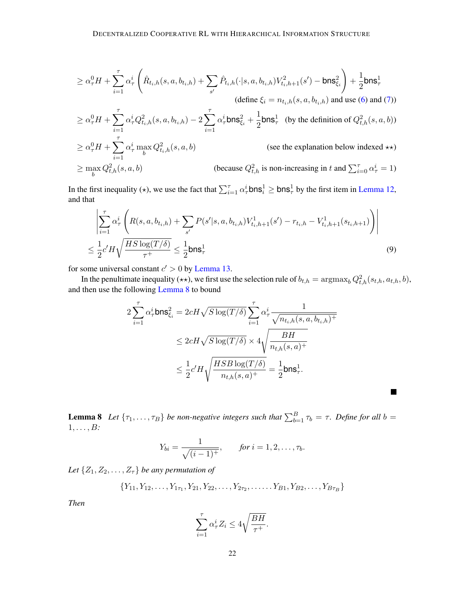≥ α 0 <sup>τ</sup>H + Xτ i=1 α i τ Rˆ <sup>t</sup>i,h(s, a, bti,h) +X s ′ Pˆ <sup>t</sup>i,h(·|s, a, bti,h)V 2 <sup>t</sup>i,h+1(s ′ ) − bns<sup>2</sup> ξi ! + 1 2 bns<sup>1</sup> τ (define ξ<sup>i</sup> = nti,h(s, a, bti,h) and use [\(6\)](#page-19-2) and [\(7\)](#page-19-3)) ≥ α 0 <sup>τ</sup>H + Xτ i=1 α i <sup>τ</sup>Q 2 <sup>t</sup>i,h(s, a, bti,h) − 2 Xτ i=1 α i τbns<sup>2</sup> <sup>ξ</sup><sup>i</sup> + 1 2 bns<sup>1</sup> τ (by the definition of Q<sup>2</sup> t,h(s, a, b)) ≥ α 0 <sup>τ</sup>H + Xτ i=1 α i <sup>τ</sup> max b Q 2 <sup>t</sup>i,h(s, a, b) (see the explanation below indexed ⋆⋆) ≥ max b Q 2 t,h(s, a, b) (because Q<sup>2</sup> t,h is non-increasing in <sup>t</sup> and <sup>P</sup><sup>τ</sup> <sup>i</sup>=0 α i <sup>τ</sup> = 1)

In the first inequality ( $\star$ ), we use the fact that  $\sum_{i=1}^{\tau} \alpha_{\tau}^{i}$  bns $\frac{1}{i} \geq$  bns $\frac{1}{\tau}$  by the first item in [Lemma 12,](#page-32-1) and that

$$
\left| \sum_{i=1}^{\tau} \alpha_{\tau}^{i} \left( R(s, a, b_{t_i, h}) + \sum_{s'} P(s' | s, a, b_{t_i, h}) V_{t_i, h+1}^{1}(s') - r_{t_i, h} - V_{t_i, h+1}^{1}(s_{t_i, h+1}) \right) \right|
$$
  

$$
\leq \frac{1}{2} c' H \sqrt{\frac{HS \log(T/\delta)}{\tau^{+}}} \leq \frac{1}{2} \text{bns}_{\tau}^{1}
$$
(9)

for some universal constant  $c' > 0$  by [Lemma 13.](#page-32-2)

In the penultimate inequality ( $\star\star$ ), we first use the selection rule of  $b_{t,h} = \arg\!\max_b Q_{t,h}^2(s_{t,h},a_{t,h},b)$ , and then use the following [Lemma 8](#page-21-0) to bound

$$
\begin{aligned} 2\sum_{i=1}^\tau \alpha_\tau^i \text{bns}^2_{\xi_i} &= 2cH\sqrt{S\log(T/\delta)}\sum_{i=1}^\tau \alpha_\tau^i \frac{1}{\sqrt{n_{t_i,h}(s,a,b_{t_i,h})^+}} \\ &\leq 2cH\sqrt{S\log(T/\delta)} \times 4\sqrt{\frac{BH}{n_{t,h}(s,a)^+}} \\ &\leq \frac{1}{2}c'H\sqrt{\frac{HSB\log(T/\delta)}{n_{t,h}(s,a)^+}} = \frac{1}{2}\text{bns}^1_\tau. \end{aligned}
$$

<span id="page-21-0"></span>**Lemma 8** Let  $\{\tau_1, \ldots, \tau_B\}$  be non-negative integers such that  $\sum_{b=1}^B \tau_b = \tau$ . Define for all  $b =$ 1, . . . , B*:*

■

$$
Y_{bi} = \frac{1}{\sqrt{(i-1)^{+}}},
$$
 for  $i = 1, 2, ..., \tau_b$ .

*Let*  $\{Z_1, Z_2, \ldots, Z_{\tau}\}\$  *be any permutation of* 

$$
\{Y_{11}, Y_{12}, \ldots, Y_{1\tau_1}, Y_{21}, Y_{22}, \ldots, Y_{2\tau_2}, \ldots, Y_{B1}, Y_{B2}, \ldots, Y_{B\tau_B}\}\
$$

*Then*

$$
\sum_{i=1}^{\tau} \alpha_{\tau}^{i} Z_i \le 4\sqrt{\frac{BH}{\tau^+}}.
$$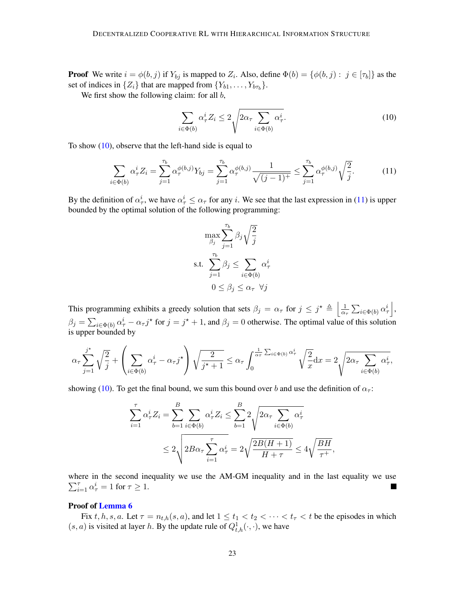**Proof** We write  $i = \phi(b, j)$  if  $Y_{bj}$  is mapped to  $Z_i$ . Also, define  $\Phi(b) = \{\phi(b, j) : j \in [\tau_b]\}$  as the set of indices in  $\{Z_i\}$  that are mapped from  $\{Y_{b1}, \ldots, Y_{b\tau_b}\}.$ 

We first show the following claim: for all  $b$ ,

<span id="page-22-0"></span>
$$
\sum_{i \in \Phi(b)} \alpha_{\tau}^{i} Z_i \le 2 \sqrt{2\alpha_{\tau} \sum_{i \in \Phi(b)} \alpha_{\tau}^{i}}.
$$
\n(10)

To show  $(10)$ , observe that the left-hand side is equal to

$$
\sum_{i \in \Phi(b)} \alpha_{\tau}^{i} Z_i = \sum_{j=1}^{\tau_b} \alpha_{\tau}^{\phi(b,j)} Y_{bj} = \sum_{j=1}^{\tau_b} \alpha_{\tau}^{\phi(b,j)} \frac{1}{\sqrt{(j-1)^{+}}} \le \sum_{j=1}^{\tau_b} \alpha_{\tau}^{\phi(b,j)} \sqrt{\frac{2}{j}}.
$$
 (11)

By the definition of  $\alpha^i_\tau$ , we have  $\alpha^i_\tau \leq \alpha_\tau$  for any *i*. We see that the last expression in [\(11\)](#page-22-1) is upper bounded by the optimal solution of the following programming:

<span id="page-22-1"></span>
$$
\max_{\beta_j} \sum_{j=1}^{\tau_b} \beta_j \sqrt{\frac{2}{j}}
$$
  
s.t. 
$$
\sum_{j=1}^{\tau_b} \beta_j \le \sum_{i \in \Phi(b)} \alpha_\tau^i
$$

$$
0 \le \beta_j \le \alpha_\tau \ \forall j
$$

This programming exhibits a greedy solution that sets  $\beta_j = \alpha_\tau$  for  $j \leq j^* \triangleq \left| \frac{1}{\alpha_j} \right|$  $\frac{1}{\alpha_{\tau}}\sum_{i\in\Phi(b)}\alpha_{\tau}^i\,\Big|,$  $\beta_j = \sum_{i \in \Phi(b)} \alpha_i^i - \alpha_{\tau} j^*$  for  $j = j^* + 1$ , and  $\beta_j = 0$  otherwise. The optimal value of this solution is upper bounded by

$$
\alpha_{\tau} \sum_{j=1}^{j^{\star}} \sqrt{\frac{2}{j}} + \left(\sum_{i \in \Phi(b)} \alpha_{\tau}^{i} - \alpha_{\tau} j^{\star}\right) \sqrt{\frac{2}{j^{\star} + 1}} \leq \alpha_{\tau} \int_{0}^{\frac{1}{\alpha_{\tau}} \sum_{i \in \Phi(b)} \alpha_{\tau}^{i}} \sqrt{\frac{2}{x}} dx = 2 \sqrt{2 \alpha_{\tau} \sum_{i \in \Phi(b)} \alpha_{\tau}^{i}},
$$

showing [\(10\)](#page-22-0). To get the final bound, we sum this bound over b and use the definition of  $\alpha_{\tau}$ :

$$
\sum_{i=1}^{\tau} \alpha_{\tau}^{i} Z_i = \sum_{b=1}^{B} \sum_{i \in \Phi(b)} \alpha_{\tau}^{i} Z_i \le \sum_{b=1}^{B} 2 \sqrt{2 \alpha_{\tau} \sum_{i \in \Phi(b)} \alpha_{\tau}^{i}}
$$
  

$$
\le 2 \sqrt{2B \alpha_{\tau} \sum_{i=1}^{\tau} \alpha_{\tau}^{i}} = 2 \sqrt{\frac{2B(H+1)}{H+\tau}} \le 4 \sqrt{\frac{BH}{\tau^{+}}},
$$

where in the second inequality we use the AM-GM inequality and in the last equality we use  $\sum_{i=1}^{\tau} \alpha_{\tau}^{i} = 1$  for  $\tau \geq 1$ .

## Proof of [Lemma 6](#page-11-2)

Fix t, h, s, a. Let  $\tau = n_{t,h}(s, a)$ , and let  $1 \le t_1 < t_2 < \cdots < t_{\tau} < t$  be the episodes in which  $(s, a)$  is visited at layer h. By the update rule of  $Q_{t,h}^1(\cdot, \cdot)$ , we have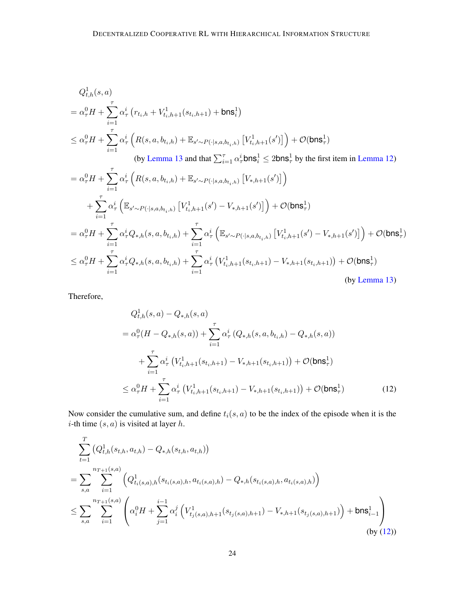$$
Q_{t,h}^1(s, a)
$$
  
=  $\alpha_{\tau}^0 H + \sum_{i=1}^{\tau} \alpha_{\tau}^i (r_{t_i,h} + V_{t_i,h+1}^1(s_{t_i,h+1}) + \text{bns}_i^1)$   
 $\leq \alpha_{\tau}^0 H + \sum_{i=1}^{\tau} \alpha_{\tau}^i (R(s, a, b_{t_i,h}) + \mathbb{E}_{s' \sim P(\cdot|s, a, b_{t_i,h})} [V_{t_i,h+1}^1(s')] + \mathcal{O}(\text{bns}_\tau^1)$   
(by Lemma 13 and that  $\sum_{i=1}^{\tau} \alpha_{\tau}^i \text{bns}_i^1 \leq 2\text{bns}_\tau^1$  by the first item in Lemma 12)  
 $= \alpha_{\tau}^0 H + \sum_{i=1}^{\tau} \alpha_{\tau}^i (R(s, a, b_{t_i,h}) + \mathbb{E}_{s' \sim P(\cdot|s, a, b_{t_i,h})} [V_{*,h+1}(s')])$ 

$$
+ \sum_{i=1}^{\tau} \alpha_{\tau}^{i} \left( \mathbb{E}_{s' \sim P(\cdot | s, a, b_{t_i, h})} \left[ V_{t_i, h+1}^{1}(s') - V_{*, h+1}(s') \right] \right) + \mathcal{O}(\text{bn} s_{\tau}^{1})
$$
  
\n
$$
= \alpha_{\tau}^{0} H + \sum_{i=1}^{\tau} \alpha_{\tau}^{i} Q_{*,h}(s, a, b_{t_i, h}) + \sum_{i=1}^{\tau} \alpha_{\tau}^{i} \left( \mathbb{E}_{s' \sim P(\cdot | s, a, b_{t_i, h})} \left[ V_{t_i, h+1}^{1}(s') - V_{*, h+1}(s') \right] \right) + \mathcal{O}(\text{bn} s_{\tau}^{1})
$$
  
\n
$$
\leq \alpha_{\tau}^{0} H + \sum_{i=1}^{\tau} \alpha_{\tau}^{i} Q_{*,h}(s, a, b_{t_i, h}) + \sum_{i=1}^{\tau} \alpha_{\tau}^{i} \left( V_{t_i, h+1}^{1}(s_{t_i, h+1}) - V_{*, h+1}(s_{t_i, h+1}) \right) + \mathcal{O}(\text{bn} s_{\tau}^{1})
$$
  
\n(by Lemma 13)

Therefore,

<span id="page-23-0"></span>
$$
Q_{t,h}^{1}(s, a) - Q_{*,h}(s, a)
$$
  
=  $\alpha_{\tau}^{0}(H - Q_{*,h}(s, a)) + \sum_{i=1}^{\tau} \alpha_{\tau}^{i} (Q_{*,h}(s, a, b_{t_i, h}) - Q_{*,h}(s, a))$   
+  $\sum_{i=1}^{\tau} \alpha_{\tau}^{i} (V_{t_i, h+1}^{1}(s_{t_i, h+1}) - V_{*,h+1}(s_{t_i, h+1})) + \mathcal{O}(\text{bn} s_{\tau}^{1})$   
 $\leq \alpha_{\tau}^{0} H + \sum_{i=1}^{\tau} \alpha_{\tau}^{i} (V_{t_i, h+1}^{1}(s_{t_i, h+1}) - V_{*,h+1}(s_{t_i, h+1})) + \mathcal{O}(\text{bn} s_{\tau}^{1})$  (12)

Now consider the cumulative sum, and define  $t_i(s, a)$  to be the index of the episode when it is the *i*-th time  $(s, a)$  is visited at layer *h*.

$$
\sum_{t=1}^{T} \left(Q_{t,h}^{1}(s_{t,h}, a_{t,h}) - Q_{*,h}(s_{t,h}, a_{t,h})\right)
$$
\n
$$
= \sum_{s,a} \sum_{i=1}^{n_{T+1}(s,a)} \left(Q_{t_i(s,a),h}^{1}(s_{t_i(s,a),h}, a_{t_i(s,a),h}) - Q_{*,h}(s_{t_i(s,a),h}, a_{t_i(s,a),h})\right)
$$
\n
$$
\leq \sum_{s,a} \sum_{i=1}^{n_{T+1}(s,a)} \left(\alpha_i^0 H + \sum_{j=1}^{i-1} \alpha_i^j \left(V_{t_j(s,a),h+1}^{1}(s_{t_j(s,a),h+1}) - V_{*,h+1}(s_{t_j(s,a),h+1})\right) + \text{bn} \mathbf{s}_{i-1}^1\right)
$$
\n(by (12)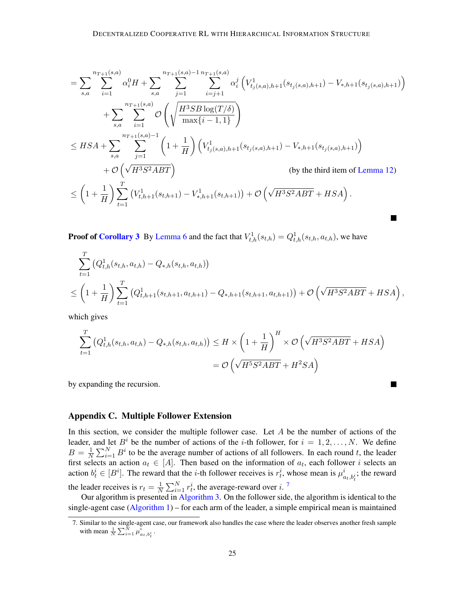$$
= \sum_{s,a} \sum_{i=1}^{n_{T+1}(s,a)} \alpha_i^0 H + \sum_{s,a} \sum_{j=1}^{n_{T+1}(s,a)-1} \sum_{i=j+1}^{n_{T+1}(s,a)} \alpha_i^j \left( V_{t_j(s,a),h+1}^1(s_{t_j(s,a),h+1}) - V_{*,h+1}(s_{t_j(s,a),h+1}) \right)
$$
  
+ 
$$
\sum_{s,a} \sum_{i=1}^{n_{T+1}(s,a)} \mathcal{O}\left(\sqrt{\frac{H^3SB \log(T/\delta)}{\max\{i-1,1\}}}\right)
$$
  

$$
\leq HSA + \sum_{s,a} \sum_{j=1}^{n_{T+1}(s,a)-1} \left(1 + \frac{1}{H}\right) \left( V_{t_j(s,a),h+1}^1(s_{t_j(s,a),h+1}) - V_{*,h+1}(s_{t_j(s,a),h+1}) \right)
$$
  
+ 
$$
\mathcal{O}\left(\sqrt{H^3S^2ABT}\right)
$$
 (by the third item of Lemma 12)  

$$
\leq \left(1 + \frac{1}{H}\right) \sum_{t=1}^T \left( V_{t,h+1}^1(s_{t,h+1}) - V_{*,h+1}^1(s_{t,h+1}) \right) + \mathcal{O}\left(\sqrt{H^3S^2ABT} + HSA\right).
$$

**Proof of [Corollary 3](#page-12-0)** By [Lemma 6](#page-11-2) and the fact that  $V_{t,h}^1(s_{t,h}) = Q_{t,h}^1(s_{t,h}, a_{t,h})$ , we have

$$
\sum_{t=1}^{T} (Q_{t,h}^1(s_{t,h}, a_{t,h}) - Q_{*,h}(s_{t,h}, a_{t,h}))
$$
\n
$$
\leq \left(1 + \frac{1}{H}\right) \sum_{t=1}^{T} (Q_{t,h+1}^1(s_{t,h+1}, a_{t,h+1}) - Q_{*,h+1}(s_{t,h+1}, a_{t,h+1})) + \mathcal{O}\left(\sqrt{H^3 S^2 A B T} + HSA\right),
$$

which gives

$$
\sum_{t=1}^{T} (Q_{t,h}^1(s_{t,h}, a_{t,h}) - Q_{*,h}(s_{t,h}, a_{t,h})) \leq H \times \left(1 + \frac{1}{H}\right)^H \times \mathcal{O}\left(\sqrt{H^3 S^2 A B T} + HSA\right)
$$

$$
= \mathcal{O}\left(\sqrt{H^5 S^2 A B T} + H^2 SA\right)
$$

 $\blacksquare$ 

by expanding the recursion.

## <span id="page-24-0"></span>Appendix C. Multiple Follower Extension

In this section, we consider the multiple follower case. Let  $A$  be the number of actions of the leader, and let  $B^i$  be the number of actions of the *i*-th follower, for  $i = 1, 2, ..., N$ . We define  $B=\frac{1}{N}$  $\frac{1}{N} \sum_{i=1}^{N} B^i$  to be the average number of actions of all followers. In each round t, the leader first selects an action  $a_t \in [A]$ . Then based on the information of  $a_t$ , each follower i selects an action  $b_t^i \in [B^i]$ . The reward that the *i*-th follower receives is  $r_t^i$ , whose mean is  $\mu_{a_t,b_t^i}^i$ ; the reward the leader receives is  $r_t = \frac{1}{N}$  $\frac{1}{N} \sum_{i=1}^{N} r_t^i$ , the average-reward over i.<sup>[7](#page-24-1)</sup>

Our algorithm is presented in [Algorithm 3.](#page-25-0) On the follower side, the algorithm is identical to the single-agent case  $(Algorithm 1)$  – for each arm of the leader, a simple empirical mean is maintained

<span id="page-24-1"></span><sup>7.</sup> Similar to the single-agent case, our framework also handles the case where the leader observes another fresh sample with mean  $\frac{1}{N} \sum_{i=1}^{N} \mu_{a_t, b_t^i}^i$ .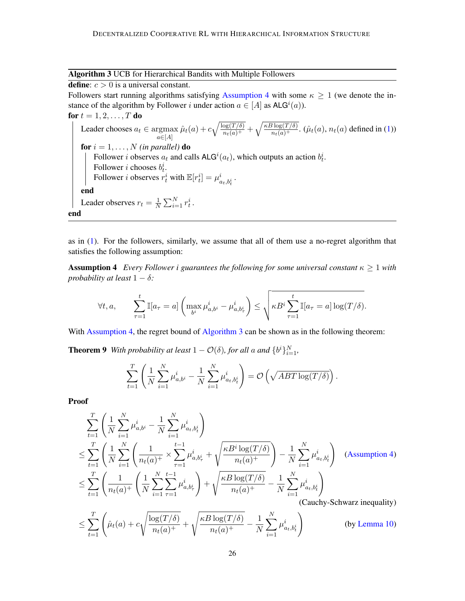<span id="page-25-0"></span>Algorithm 3 UCB for Hierarchical Bandits with Multiple Followers

define:  $c > 0$  is a universal constant. Followers start running algorithms satisfying [Assumption 4](#page-25-1) with some  $\kappa \geq 1$  (we denote the instance of the algorithm by Follower *i* under action  $a \in [A]$  as  $ALG^{i}(a)$ ). for  $t = 1, 2, ..., T$  do Leader chooses  $a_t \in \text{argmax}$  $a \in [A]$  $\hat{\mu}_t(a) + c\sqrt{\frac{\log(T/\delta)}{n_t(a)^+}} + \sqrt{\frac{\kappa B \log(T/\delta)}{n_t(a)^+}}$ .  $(\hat{\mu}_t(a), n_t(a)$  defined in [\(1\)](#page-6-1)) for  $i = 1, \ldots, N$  *(in parallel)* do Follower *i* observes  $a_t$  and calls  $ALG^i(a_t)$ , which outputs an action  $b_t^i$ . Follower *i* chooses  $b_t^i$ . Follower *i* observes  $r_t^i$  with  $\mathbb{E}[r_t^i] = \mu_{a_t, b_t^i}^i$ . end Leader observes  $r_t = \frac{1}{N}$  $\frac{1}{N} \sum_{i=1}^N r_t^i$ . end

as in [\(1\)](#page-6-1). For the followers, similarly, we assume that all of them use a no-regret algorithm that satisfies the following assumption:

**Assumption 4** *Every Follower i guarantees the following for some universal constant*  $\kappa \geq 1$  *with probability at least*  $1 - \delta$ *:* 

<span id="page-25-1"></span>
$$
\forall t, a, \qquad \sum_{\tau=1}^t \mathbb{I}[a_{\tau} = a] \left( \max_{b^i} \mu_{a,b^i}^i - \mu_{a,b^i_{\tau}}^i \right) \leq \sqrt{\kappa B^i \sum_{\tau=1}^t \mathbb{I}[a_{\tau} = a] \log(T/\delta)}.
$$

With [Assumption 4,](#page-25-1) the regret bound of [Algorithm 3](#page-25-0) can be shown as in the following theorem:

**Theorem 9** With probability at least  $1 - \mathcal{O}(\delta)$ , for all a and  $\{b^i\}_{i=1}^N$ ,

$$
\sum_{t=1}^T \left( \frac{1}{N} \sum_{i=1}^N \mu_{a,b^i}^i - \frac{1}{N} \sum_{i=1}^N \mu_{a_t,b_t^i}^i \right) = \mathcal{O}\left(\sqrt{ABT \log(T/\delta)}\right).
$$

Proof

$$
\sum_{t=1}^{T} \left( \frac{1}{N} \sum_{i=1}^{N} \mu_{a,b^{i}}^{i} - \frac{1}{N} \sum_{i=1}^{N} \mu_{a,b^{i}}^{i} \right)
$$
\n
$$
\leq \sum_{t=1}^{T} \left( \frac{1}{N} \sum_{i=1}^{N} \left( \frac{1}{n_{t}(a)^{+}} \times \sum_{\tau=1}^{t-1} \mu_{a,b^{i}_{\tau}}^{i} + \sqrt{\frac{\kappa B^{i} \log(T/\delta)}{n_{t}(a)^{+}}} \right) - \frac{1}{N} \sum_{i=1}^{N} \mu_{a,b^{i}_{t}}^{i} \right) \quad \text{(Assumption 4)}
$$
\n
$$
\leq \sum_{t=1}^{T} \left( \frac{1}{n_{t}(a)^{+}} \left( \frac{1}{N} \sum_{i=1}^{N} \sum_{\tau=1}^{t-1} \mu_{a,b^{i}_{\tau}}^{i} \right) + \sqrt{\frac{\kappa B \log(T/\delta)}{n_{t}(a)^{+}}} - \frac{1}{N} \sum_{i=1}^{N} \mu_{a,b^{i}_{t}}^{i} \right) \quad \text{(Cauchy-Schwarz inequality)}
$$
\n
$$
\leq \sum_{t=1}^{T} \left( \hat{\mu}_{t}(a) + c \sqrt{\frac{\log(T/\delta)}{n_{t}(a)^{+}}} + \sqrt{\frac{\kappa B \log(T/\delta)}{n_{t}(a)^{+}}} - \frac{1}{N} \sum_{i=1}^{N} \mu_{a,t,b^{i}_{t}}^{i} \right) \quad \text{(by Lemma 10)}
$$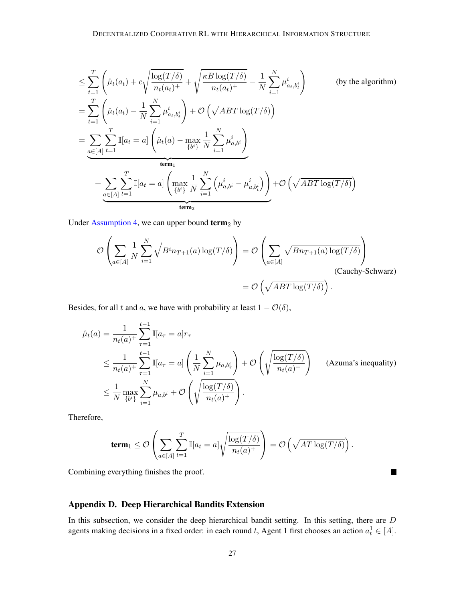$$
\leq \sum_{t=1}^{T} \left( \hat{\mu}_t(a_t) + c \sqrt{\frac{\log(T/\delta)}{n_t(a_t)^+}} + \sqrt{\frac{\kappa B \log(T/\delta)}{n_t(a_t)^+}} - \frac{1}{N} \sum_{i=1}^{N} \mu_{a_t, b_t^i}^i \right) \qquad \text{(by the algorithm)}
$$
\n
$$
= \sum_{t=1}^{T} \left( \hat{\mu}_t(a_t) - \frac{1}{N} \sum_{i=1}^{N} \mu_{a_t, b_t^i}^i \right) + \mathcal{O}\left(\sqrt{ABT \log(T/\delta)}\right)
$$
\n
$$
= \sum_{a \in [A]} \sum_{t=1}^{T} \mathbb{I}[a_t = a] \left( \hat{\mu}_t(a) - \max_{\{b^i\}} \frac{1}{N} \sum_{i=1}^{N} \mu_{a, b^i}^i \right)
$$
\n
$$
+ \sum_{a \in [A]} \sum_{t=1}^{T} \mathbb{I}[a_t = a] \left( \max_{\{b^i\}} \frac{1}{N} \sum_{i=1}^{N} \left( \mu_{a, b^i}^i - \mu_{a, b_t^i}^i \right) \right) + \mathcal{O}\left(\sqrt{ABT \log(T/\delta)}\right)
$$
\n
$$
\underbrace{\text{term}_1}
$$

Under [Assumption 4,](#page-25-1) we can upper bound  $term<sub>2</sub>$  by

$$
\mathcal{O}\left(\sum_{a\in[A]}\frac{1}{N}\sum_{i=1}^{N}\sqrt{B^{i}n_{T+1}(a)\log(T/\delta)}\right) = \mathcal{O}\left(\sum_{a\in[A]}\sqrt{Bn_{T+1}(a)\log(T/\delta)}\right)
$$
\n(Cauchy-Schwarz)  
\n
$$
= \mathcal{O}\left(\sqrt{ABT\log(T/\delta)}\right).
$$

Besides, for all t and a, we have with probability at least  $1 - \mathcal{O}(\delta)$ ,

$$
\hat{\mu}_t(a) = \frac{1}{n_t(a)^+} \sum_{\tau=1}^{t-1} \mathbb{I}[a_{\tau} = a] r_{\tau}
$$
\n
$$
\leq \frac{1}{n_t(a)^+} \sum_{\tau=1}^{t-1} \mathbb{I}[a_{\tau} = a] \left(\frac{1}{N} \sum_{i=1}^N \mu_{a,b_i^i}\right) + \mathcal{O}\left(\sqrt{\frac{\log(T/\delta)}{n_t(a)^+}}\right) \quad \text{(Azuma's inequality)}
$$
\n
$$
\leq \frac{1}{N} \max_{\{b^i\}} \sum_{i=1}^N \mu_{a,b^i} + \mathcal{O}\left(\sqrt{\frac{\log(T/\delta)}{n_t(a)^+}}\right).
$$

Therefore,

$$
\mathbf{term}_1 \leq \mathcal{O}\left(\sum_{a \in [A]} \sum_{t=1}^T \mathbb{I}[a_t = a] \sqrt{\frac{\log(T/\delta)}{n_t(a)^+}}\right) = \mathcal{O}\left(\sqrt{AT\log(T/\delta)}\right).
$$

 $\Box$ 

Combining everything finishes the proof.

## <span id="page-26-0"></span>Appendix D. Deep Hierarchical Bandits Extension

In this subsection, we consider the deep hierarchical bandit setting. In this setting, there are D agents making decisions in a fixed order: in each round t, Agent 1 first chooses an action  $a_t^1 \in [A]$ .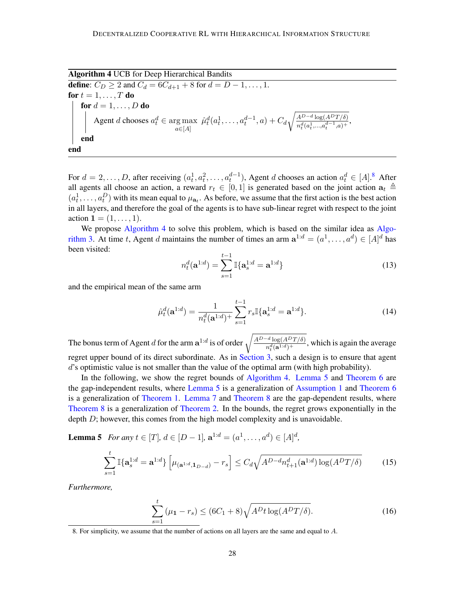<span id="page-27-1"></span>Algorithm 4 UCB for Deep Hierarchical Bandits **define**:  $C_D \ge 2$  and  $C_d = 6C_{d+1} + 8$  for  $d = D - 1, ..., 1$ . for  $t = 1, \ldots, T$  do for  $d = 1, \ldots, D$  do Agent *d* chooses  $a_t^d \in \arg\max_{a \in [A]}$  $\hat{\mu}_t^d(a_t^1,\ldots,a_t^{d-1},a) + C_d \sqrt{\frac{A^{D-d} \log (A^D T/\delta)}{n^d (a_1^1 \cdots a_{d-1}^d a_1)}}$  $\frac{A^{\omega} \sqrt{\log(A^{\omega} I/\theta)}}{n_t^d(a_t^1,...,a_t^{d-1},a)^+},$ end end

For  $d = 2, \ldots, D$ , after receiving  $(a_t^1, a_t^2, \ldots, a_t^{d-1})$ , Agent d chooses an action  $a_t^d \in [A]$ .<sup>[8](#page-27-0)</sup> After all agents all choose an action, a reward  $r_t \in [0,1]$  is generated based on the joint action  $a_t \triangleq$  $(a_t^1, \ldots, a_t^D)$  with its mean equal to  $\mu_{a_t}$ . As before, we assume that the first action is the best action in all layers, and therefore the goal of the agents is to have sub-linear regret with respect to the joint action  $1 = (1, \ldots, 1)$ .

We propose [Algorithm 4](#page-27-1) to solve this problem, which is based on the similar idea as [Algo](#page-25-0)[rithm 3.](#page-25-0) At time t, Agent d maintains the number of times an arm  $a^{1:d} = (a^1, \dots, a^d) \in [A]^d$  has been visited:

$$
n_t^d(\mathbf{a}^{1:d}) = \sum_{s=1}^{t-1} \mathbb{I}\{\mathbf{a}_s^{1:d} = \mathbf{a}^{1:d}\}\tag{13}
$$

and the empirical mean of the same arm

$$
\hat{\mu}_t^d(\mathbf{a}^{1:d}) = \frac{1}{n_t^d(\mathbf{a}^{1:d})^+} \sum_{s=1}^{t-1} r_s \mathbb{I}\{\mathbf{a}_s^{1:d} = \mathbf{a}^{1:d}\}.
$$
\n(14)

The bonus term of Agent d for the arm  $\mathbf{a}^{1:d}$  is of order  $\sqrt{\frac{A^{D-d} \log(A^D T / \delta)}{n^d (\mathbf{a}! \cdot d) + \delta}}$  $\frac{\log(A - I/\theta)}{n_t^d(\mathbf{a}^{1:d})^+}$ , which is again the average regret upper bound of its direct subordinate. As in [Section 3,](#page-5-2) such a design is to ensure that agent d's optimistic value is not smaller than the value of the optimal arm (with high probability).

In the following, we show the regret bounds of [Algorithm 4.](#page-27-1) [Lemma 5](#page-27-2) and [Theorem 6](#page-30-0) are the gap-independent results, where [Lemma 5](#page-27-2) is a generalization of [Assumption 1](#page-5-0) and [Theorem 6](#page-30-0) is a generalization of [Theorem 1.](#page-6-3) [Lemma 7](#page-30-1) and [Theorem 8](#page-30-2) are the gap-dependent results, where [Theorem 8](#page-30-2) is a generalization of [Theorem 2.](#page-8-0) In the bounds, the regret grows exponentially in the depth  $D$ ; however, this comes from the high model complexity and is unavoidable.

<span id="page-27-2"></span>**Lemma 5** *For any*  $t \in [T], d \in [D-1],$   $\mathbf{a}^{1:d} = (a^1, \dots, a^d) \in [A]^d$ ,

<span id="page-27-4"></span>
$$
\sum_{s=1}^{t} \mathbb{I}\{\mathbf{a}_s^{1:d} = \mathbf{a}^{1:d}\} \left[\mu_{(\mathbf{a}^{1:d}, \mathbf{1}_{D-d})} - r_s\right] \le C_d \sqrt{A^{D-d} n_{t+1}^d(\mathbf{a}^{1:d}) \log(A^D T/\delta)}
$$
(15)

*Furthermore,*

<span id="page-27-3"></span>
$$
\sum_{s=1}^{t} (\mu_1 - r_s) \le (6C_1 + 8)\sqrt{A^D t \log(A^D T/\delta)}.
$$
\n(16)

<span id="page-27-0"></span><sup>8.</sup> For simplicity, we assume that the number of actions on all layers are the same and equal to A.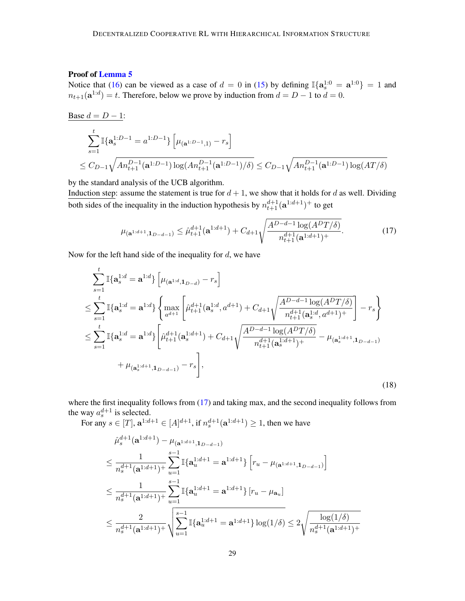## Proof of [Lemma 5](#page-27-2)

Notice that [\(16\)](#page-27-3) can be viewed as a case of  $d = 0$  in [\(15\)](#page-27-4) by defining  $\mathbb{I}\{\mathbf{a}_s^{1:0} = \mathbf{a}^{1:0}\} = 1$  and  $n_{t+1}(\mathbf{a}^{1:d}) = t$ . Therefore, below we prove by induction from  $d = D - 1$  to  $d = 0$ .

$$
\begin{aligned} \frac{Base\ d=D-1:}{\sum_{s=1}^{t} \mathbb{I}\{\mathbf{a}_s^{1:D-1}=a^{1:D-1}\}\left[\mu_{(\mathbf{a}^{1:D-1},1)}-r_s\right]}\\ &\leq C_{D-1}\sqrt{An_{t+1}^{D-1}(\mathbf{a}^{1:D-1})\log(nn_{t+1}^{D-1}(\mathbf{a}^{1:D-1})/\delta)} \leq C_{D-1}\sqrt{An_{t+1}^{D-1}(\mathbf{a}^{1:D-1})\log(AT/\delta)} \end{aligned}
$$

by the standard analysis of the UCB algorithm.

Induction step: assume the statement is true for  $d + 1$ , we show that it holds for d as well. Dividing both sides of the inequality in the induction hypothesis by  $n_{t+1}^{d+1}(\mathbf{a}^{1:d+1})^+$  to get

<span id="page-28-0"></span>
$$
\mu_{(\mathbf{a}^{1:d+1}, \mathbf{1}_{D-d-1})} \leq \hat{\mu}_{t+1}^{d+1}(\mathbf{a}^{1:d+1}) + C_{d+1} \sqrt{\frac{A^{D-d-1}\log(A^DT/\delta)}{n_{t+1}^{d+1}(\mathbf{a}^{1:d+1})^+}}.
$$
(17)

Now for the left hand side of the inequality for  $d$ , we have

$$
\sum_{s=1}^{t} \mathbb{I}\{\mathbf{a}_{s}^{1:d} = \mathbf{a}^{1:d}\} \left[\mu_{(\mathbf{a}^{1:d}, \mathbf{1}_{D-d})} - r_{s}\right]
$$
\n
$$
\leq \sum_{s=1}^{t} \mathbb{I}\{\mathbf{a}_{s}^{1:d} = \mathbf{a}^{1:d}\} \left\{\max_{a^{d+1}} \left[\hat{\mu}_{t+1}^{d+1}(\mathbf{a}_{s}^{1:d}, a^{d+1}) + C_{d+1} \sqrt{\frac{A^{D-d-1} \log(A^{D} T/\delta)}{n_{t+1}^{d+1}(\mathbf{a}_{s}^{1:d}, a^{d+1})^+}}\right] - r_{s}\right\}
$$
\n
$$
\leq \sum_{s=1}^{t} \mathbb{I}\{\mathbf{a}_{s}^{1:d} = \mathbf{a}^{1:d}\} \left[\hat{\mu}_{t+1}^{d+1}(\mathbf{a}_{s}^{1:d+1}) + C_{d+1} \sqrt{\frac{A^{D-d-1} \log(A^{D} T/\delta)}{n_{t+1}^{d+1}(\mathbf{a}_{s}^{1:d+1})^+}} - \mu_{(\mathbf{a}_{s}^{1:d+1}, \mathbf{1}_{D-d-1})} - \mu_{(\mathbf{a}_{s}^{1:d+1}, \mathbf{1}_{D-d-1})}\right],
$$
\n
$$
+ \mu_{(\mathbf{a}_{s}^{1:d+1}, \mathbf{1}_{D-d-1})} - r_{s}\right],
$$
\n(18)

where the first inequality follows from [\(17\)](#page-28-0) and taking max, and the second inequality follows from the way  $a_s^{d+1}$  is selected. s

For any  $s \in [T]$ ,  $\mathbf{a}^{1:d+1} \in [A]^{d+1}$ , if  $n_s^{d+1}(\mathbf{a}^{1:d+1}) \ge 1$ , then we have

<span id="page-28-1"></span>
$$
\hat{\mu}_{s}^{d+1}(\mathbf{a}^{1:d+1}) - \mu_{(\mathbf{a}^{1:d+1}, \mathbf{1}_{D-d-1})}
$$
\n
$$
\leq \frac{1}{n_{s}^{d+1}(\mathbf{a}^{1:d+1})} \sum_{u=1}^{s-1} \mathbb{I}\{\mathbf{a}_{u}^{1:d+1} = \mathbf{a}^{1:d+1}\} \left[ r_{u} - \mu_{(\mathbf{a}^{1:d+1}, \mathbf{1}_{D-d-1})} \right]
$$
\n
$$
\leq \frac{1}{n_{s}^{d+1}(\mathbf{a}^{1:d+1})} \sum_{u=1}^{s-1} \mathbb{I}\{\mathbf{a}_{u}^{1:d+1} = \mathbf{a}^{1:d+1}\} \left[ r_{u} - \mu_{\mathbf{a}_{u}} \right]
$$
\n
$$
\leq \frac{2}{n_{s}^{d+1}(\mathbf{a}^{1:d+1})} \sqrt{\sum_{u=1}^{s-1} \mathbb{I}\{\mathbf{a}_{u}^{1:d+1} = \mathbf{a}^{1:d+1}\} \log(1/\delta)} \leq 2 \sqrt{\frac{\log(1/\delta)}{n_{s}^{d+1}(\mathbf{a}^{1:d+1})} + \sum_{u=1}^{s-1} \mathbb{I}\{\mathbf{a}_{u}^{1:d+1} = \mathbf{a}^{1:d+1}\} \log(1/\delta)}
$$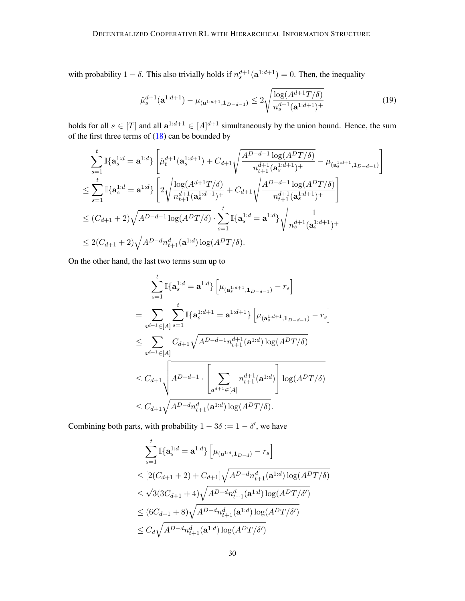with probability  $1 - \delta$ . This also trivially holds if  $n_s^{d+1}(\mathbf{a}^{1:d+1}) = 0$ . Then, the inequality

<span id="page-29-0"></span>
$$
\hat{\mu}_s^{d+1}(\mathbf{a}^{1:d+1}) - \mu_{(\mathbf{a}^{1:d+1}, \mathbf{1}_{D-d-1})} \le 2\sqrt{\frac{\log(A^{d+1}T/\delta)}{n_s^{d+1}(\mathbf{a}^{1:d+1})^+}}
$$
(19)

holds for all  $s \in [T]$  and all  $a^{1:d+1} \in [A]^{d+1}$  simultaneously by the union bound. Hence, the sum of the first three terms of  $(18)$  can be bounded by

$$
\sum_{s=1}^{t} \mathbb{I}\{\mathbf{a}_{s}^{1:d} = \mathbf{a}^{1:d}\} \left[ \hat{\mu}_{t}^{d+1}(\mathbf{a}_{s}^{1:d+1}) + C_{d+1} \sqrt{\frac{A^{D-d-1} \log(A^{D} T / \delta)}{n_{t+1}^{d+1}(\mathbf{a}_{s}^{1:d+1})^{+}}} - \mu_{(\mathbf{a}_{s}^{1:d+1}, \mathbf{1}_{D-d-1})} \right]
$$
\n
$$
\leq \sum_{s=1}^{t} \mathbb{I}\{\mathbf{a}_{s}^{1:d} = \mathbf{a}^{1:d}\} \left[ 2\sqrt{\frac{\log(A^{d+1} T / \delta)}{n_{t+1}^{d+1}(\mathbf{a}_{s}^{1:d+1})^{+}} + C_{d+1} \sqrt{\frac{A^{D-d-1} \log(A^{D} T / \delta)}{n_{t+1}^{d+1}(\mathbf{a}_{s}^{1:d+1})^{+}}} \right]
$$
\n
$$
\leq (C_{d+1} + 2)\sqrt{A^{D-d-1} \log(A^{D} T / \delta)} \cdot \sum_{s=1}^{t} \mathbb{I}\{\mathbf{a}_{s}^{1:d} = \mathbf{a}^{1:d}\} \sqrt{\frac{1}{n_{s}^{d+1}(\mathbf{a}_{s}^{1:d+1})^{+}}}
$$
\n
$$
\leq 2(C_{d+1} + 2)\sqrt{A^{D-d} n_{t+1}^{d}(\mathbf{a}^{1:d}) \log(A^{D} T / \delta)}.
$$

On the other hand, the last two terms sum up to

$$
\sum_{s=1}^{t} \mathbb{I}\{\mathbf{a}_{s}^{1:d} = \mathbf{a}^{1:d}\} \left[\mu_{(\mathbf{a}_{s}^{1:d+1}, \mathbf{1}_{D-d-1})} - r_{s}\right]
$$
  
\n
$$
= \sum_{a^{d+1} \in [A]} \sum_{s=1}^{t} \mathbb{I}\{\mathbf{a}_{s}^{1:d+1} = \mathbf{a}^{1:d+1}\} \left[\mu_{(\mathbf{a}_{s}^{1:d+1}, \mathbf{1}_{D-d-1})} - r_{s}\right]
$$
  
\n
$$
\leq \sum_{a^{d+1} \in [A]} C_{d+1} \sqrt{A^{D-d-1} n_{t+1}^{d+1}(\mathbf{a}^{1:d}) \log(A^{D}T/\delta)}
$$
  
\n
$$
\leq C_{d+1} \sqrt{A^{D-d-1} \cdot \left[\sum_{a^{d+1} \in [A]} n_{t+1}^{d+1}(\mathbf{a}^{1:d})\right] \log(A^{D}T/\delta)}
$$
  
\n
$$
\leq C_{d+1} \sqrt{A^{D-d} n_{t+1}^{d}(\mathbf{a}^{1:d}) \log(A^{D}T/\delta)}.
$$

Combining both parts, with probability  $1 - 3\delta := 1 - \delta'$ , we have

$$
\sum_{s=1}^{t} \mathbb{I}\{\mathbf{a}_{s}^{1:d} = \mathbf{a}^{1:d}\} \left[\mu_{(\mathbf{a}^{1:d}, \mathbf{1}_{D-d})} - r_{s}\right]
$$
  
\n
$$
\leq [2(C_{d+1} + 2) + C_{d+1}]\sqrt{A^{D-d}n_{t+1}^{d}(\mathbf{a}^{1:d})\log(A^{D}T/\delta)}
$$
  
\n
$$
\leq \sqrt{3}(3C_{d+1} + 4)\sqrt{A^{D-d}n_{t+1}^{d}(\mathbf{a}^{1:d})\log(A^{D}T/\delta')}
$$
  
\n
$$
\leq (6C_{d+1} + 8)\sqrt{A^{D-d}n_{t+1}^{d}(\mathbf{a}^{1:d})\log(A^{D}T/\delta')}
$$
  
\n
$$
\leq C_{d}\sqrt{A^{D-d}n_{t+1}^{d}(\mathbf{a}^{1:d})\log(A^{D}T/\delta')}
$$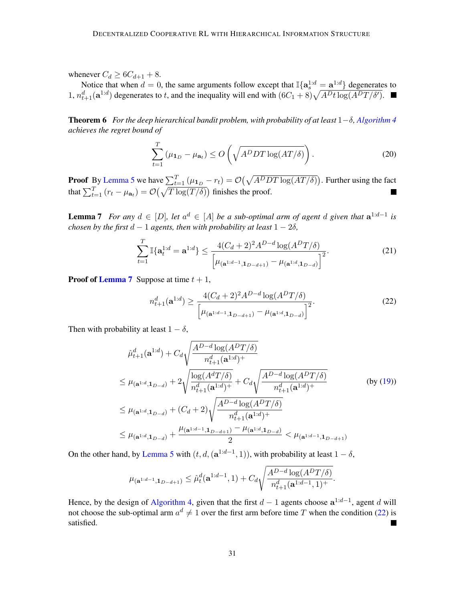whenever  $C_d \geq 6C_{d+1} + 8$ .

Notice that when  $d = 0$ , the same arguments follow except that  $\mathbb{I}\{\mathbf{a}_s^{1:d} = \mathbf{a}^{1:d}\}\)$  degenerates to 1,  $n_{t+1}^d(\mathbf{a}^{1:d})$  degenerates to t, and the inequality will end with  $(6C_1 + 8)\sqrt{A^D t \log(A^D T/\delta')}$ .

<span id="page-30-0"></span>**Theorem 6** For the deep hierarchical bandit problem, with probability of at least  $1-\delta$ , [Algorithm 4](#page-27-1) *achieves the regret bound of*

$$
\sum_{t=1}^{T} (\mu_{1_D} - \mu_{\mathbf{a}_t}) \le O\left(\sqrt{A^D DT \log(AT/\delta)}\right). \tag{20}
$$

**Proof** By [Lemma 5](#page-27-2) we have  $\sum_{t=1}^{T} (\mu_{1_D} - r_t) = \mathcal{O}(\sqrt{A^D DT \log(AT/\delta)})$ . Further using the fact that  $\sum_{t=1}^{T} (r_t - \mu_{\mathbf{a}_t}) = \mathcal{O}(\sqrt{T \log(T/\delta)})$  finishes the proof.

<span id="page-30-1"></span>**Lemma 7** For any  $d \in [D]$ , let  $a^d \in [A]$  be a sub-optimal arm of agent d given that  $a^{1:d-1}$  is *chosen by the first*  $d - 1$  *agents, then with probability at least*  $1 - 2\delta$ *,* 

$$
\sum_{t=1}^{T} \mathbb{I}\{\mathbf{a}_t^{1:d} = \mathbf{a}^{1:d}\} \le \frac{4(C_d + 2)^2 A^{D-d} \log(A^D T/\delta)}{\left[\mu_{(\mathbf{a}^{1:d-1}, \mathbf{1}_{D-d+1})} - \mu_{(\mathbf{a}^{1:d}, \mathbf{1}_{D-d})}\right]^2}.
$$
(21)

**Proof of [Lemma 7](#page-30-1)** Suppose at time  $t + 1$ ,

<span id="page-30-3"></span>
$$
n_{t+1}^d(\mathbf{a}^{1:d}) \ge \frac{4(C_d+2)^2 A^{D-d} \log(A^D T/\delta)}{\left[\mu_{(\mathbf{a}^{1:d-1}, \mathbf{1}_{D-d+1})} - \mu_{(\mathbf{a}^{1:d}, \mathbf{1}_{D-d})}\right]^2}.
$$
(22)

Then with probability at least  $1 - \delta$ ,

$$
\hat{\mu}_{t+1}^{d}(\mathbf{a}^{1:d}) + C_{d} \sqrt{\frac{A^{D-d} \log(A^{D}T/\delta)}{n_{t+1}^{d}(\mathbf{a}^{1:d})^{+}}}
$$
\n
$$
\leq \mu_{(\mathbf{a}^{1:d}, \mathbf{1}_{D-d})} + 2 \sqrt{\frac{\log(A^{d}T/\delta)}{n_{t+1}^{d}(\mathbf{a}^{1:d})^{+}} + C_{d} \sqrt{\frac{A^{D-d} \log(A^{D}T/\delta)}{n_{t+1}^{d}(\mathbf{a}^{1:d})^{+}}}}
$$
\n
$$
\leq \mu_{(\mathbf{a}^{1:d}, \mathbf{1}_{D-d})} + (C_{d} + 2) \sqrt{\frac{A^{D-d} \log(A^{D}T/\delta)}{n_{t+1}^{d}(\mathbf{a}^{1:d})^{+}}}
$$
\n
$$
\leq \mu_{(\mathbf{a}^{1:d}, \mathbf{1}_{D-d})} + \frac{\mu_{(\mathbf{a}^{1:d-1}, \mathbf{1}_{D-d+1})} - \mu_{(\mathbf{a}^{1:d}, \mathbf{1}_{D-d})}}{2} < \mu_{(\mathbf{a}^{1:d-1}, \mathbf{1}_{D-d+1})}
$$
\n(by (19))

On the other hand, by [Lemma 5](#page-27-2) with  $(t, d, (a^{1:d-1}, 1))$ , with probability at least  $1 - \delta$ ,

$$
\mu_{(\mathbf{a}^{1:d-1},\mathbf{1}_{D-d+1})} \leq \hat{\mu}_t^d(\mathbf{a}^{1:d-1},1) + C_d \sqrt{\frac{A^{D-d} \log(A^D T/\delta)}{n_{t+1}^d(\mathbf{a}^{1:d-1},1)^+}}.
$$

<span id="page-30-2"></span>Hence, by the design of [Algorithm 4,](#page-27-1) given that the first  $d-1$  agents choose  $a^{1:d-1}$ , agent d will not choose the sub-optimal arm  $a^d \neq 1$  over the first arm before time T when the condition [\(22\)](#page-30-3) is satisfied.  $\blacksquare$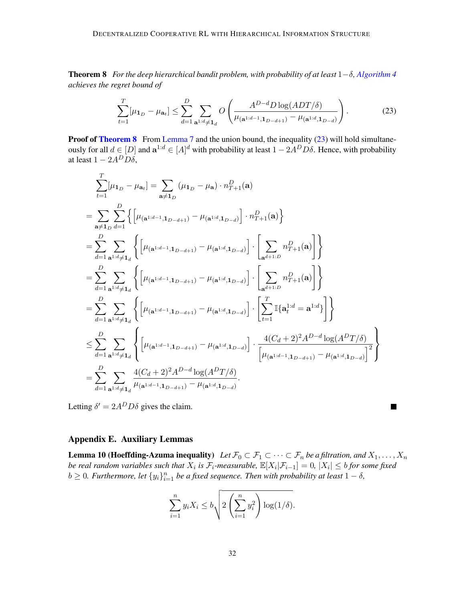Theorem 8 *For the deep hierarchical bandit problem, with probability of at least* 1−δ*, [Algorithm 4](#page-27-1) achieves the regret bound of*

<span id="page-31-2"></span>
$$
\sum_{t=1}^{T} \left[ \mu_{\mathbf{1}_D} - \mu_{\mathbf{a}_t} \right] \le \sum_{d=1}^{D} \sum_{\mathbf{a}^{1:d} \neq \mathbf{1}_d} O\left(\frac{A^{D-d} D \log(ADT/\delta)}{\mu_{(\mathbf{a}^{1:d-1}, \mathbf{1}_{D-d+1})} - \mu_{(\mathbf{a}^{1:d}, \mathbf{1}_{D-d})}}\right).
$$
(23)

**Proof of [Theorem 8](#page-30-2)** From [Lemma 7](#page-30-1) and the union bound, the inequality [\(23\)](#page-31-2) will hold simultaneously for all  $d \in [D]$  and  $\mathbf{a}^{1:d} \in [A]^d$  with probability at least  $1 - 2A^D D \delta$ . Hence, with probability at least  $1 - 2A^D D\delta$ ,

$$
\sum_{t=1}^{T} [\mu_{1_D} - \mu_{a_t}] = \sum_{\mathbf{a} \neq \mathbf{1}_D} (\mu_{1_D} - \mu_{\mathbf{a}}) \cdot n_{T+1}^D(\mathbf{a})
$$
\n
$$
= \sum_{\mathbf{a} \neq \mathbf{1}_D} \sum_{d=1}^{D} \left\{ \left[ \mu_{(\mathbf{a}^{1:d-1}, \mathbf{1}_{D-d+1})} - \mu_{(\mathbf{a}^{1:d}, \mathbf{1}_{D-d})} \right] \cdot n_{T+1}^D(\mathbf{a}) \right\}
$$
\n
$$
= \sum_{d=1}^{D} \sum_{\mathbf{a}^{1:d} \neq \mathbf{1}_d} \left\{ \left[ \mu_{(\mathbf{a}^{1:d-1}, \mathbf{1}_{D-d+1})} - \mu_{(\mathbf{a}^{1:d}, \mathbf{1}_{D-d})} \right] \cdot \left[ \sum_{\mathbf{a}^{d+1:D}} n_{T+1}^D(\mathbf{a}) \right] \right\}
$$
\n
$$
= \sum_{d=1}^{D} \sum_{\mathbf{a}^{1:d} \neq \mathbf{1}_d} \left\{ \left[ \mu_{(\mathbf{a}^{1:d-1}, \mathbf{1}_{D-d+1})} - \mu_{(\mathbf{a}^{1:d}, \mathbf{1}_{D-d})} \right] \cdot \left[ \sum_{\mathbf{a}^{d+1:D}} n_{T+1}^D(\mathbf{a}) \right] \right\}
$$
\n
$$
= \sum_{d=1}^{D} \sum_{\mathbf{a}^{1:d} \neq \mathbf{1}_d} \left\{ \left[ \mu_{(\mathbf{a}^{1:d-1}, \mathbf{1}_{D-d+1})} - \mu_{(\mathbf{a}^{1:d}, \mathbf{1}_{D-d})} \right] \cdot \left[ \sum_{t=1}^{T} \mathbb{I}\{\mathbf{a}_t^{1:d} = \mathbf{a}^{1:d}\} \right] \right\}
$$
\n
$$
\leq \sum_{d=1}^{D} \sum_{\mathbf{a}^{1:d} \neq \mathbf{1}_d} \left\{ \left[ \mu_{(\mathbf{a}^{1:d-1}, \mathbf{1}_{D-d+1})} - \mu_{(\mathbf{a}^{1:d}, \mathbf{1}_{D-d})} \right] \cdot \frac{4(C
$$

Letting  $\delta' = 2A^D D \delta$  gives the claim.

## Appendix E. Auxiliary Lemmas

<span id="page-31-1"></span><span id="page-31-0"></span>**Lemma 10 (Hoeffding-Azuma inequality)** Let  $\mathcal{F}_0 \subset \mathcal{F}_1 \subset \cdots \subset \mathcal{F}_n$  be a filtration, and  $X_1, \ldots, X_n$ *be real random variables such that*  $X_i$  *is*  $\mathcal{F}_i$ -measurable,  $\mathbb{E}[X_i|\mathcal{F}_{i-1}]=0$ ,  $|X_i|\leq b$  for some fixed  $b \geq 0$ . Furthermore, let  $\{y_i\}_{i=1}^n$  be a fixed sequence. Then with probability at least  $1 - \delta$ ,

 $\blacksquare$ 

$$
\sum_{i=1}^{n} y_i X_i \le b \sqrt{2 \left(\sum_{i=1}^{n} y_i^2\right) \log(1/\delta)}.
$$